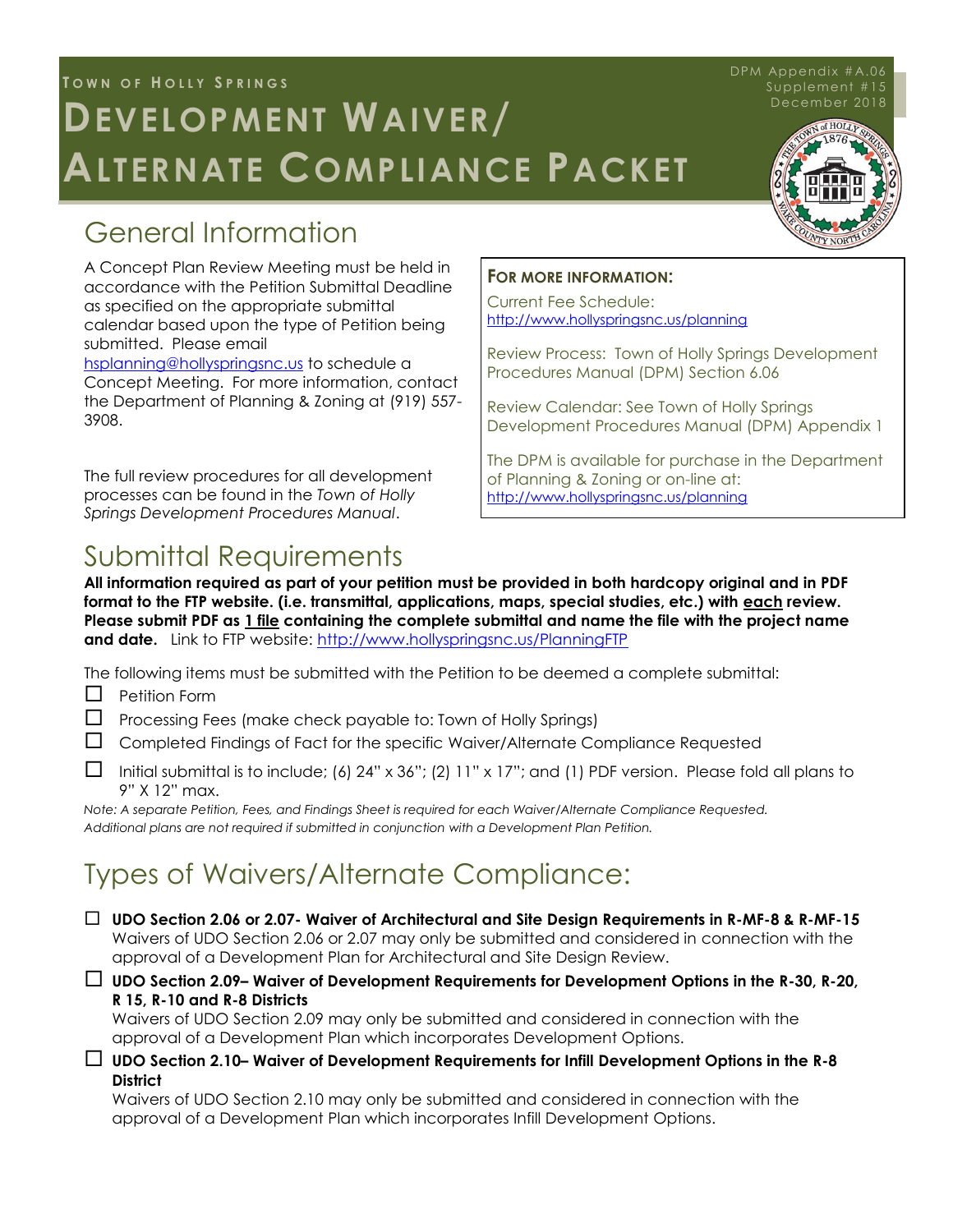# Town of Holly Springs **T O W N O F H O L L Y S P R I N G S**  $D$ **EVELOPMENT WAIVER**/ **ALTERNATE COMPLIANCE PACKET**

# General Information

A Concept Plan Review Meeting must be held in accordance with the Petition Submittal Deadline as specified on the appropriate submittal calendar based upon the type of Petition being submitted. Please email [hsplanning@hollyspringsnc.us](mailto:hsplanning@hollyspringsnc.us) to schedule a

Concept Meeting. For more information, contact the Department of Planning & Zoning at (919) 557- 3908.

The full review procedures for all development processes can be found in the *Town of Holly Springs Development Procedures Manual*.

#### **FOR MORE INFORMATION:**

Current Fee Schedule: <http://www.hollyspringsnc.us/planning>

Review Process: Town of Holly Springs Development Procedures Manual (DPM) Section 6.06

Review Calendar: See Town of Holly Springs Development Procedures Manual (DPM) Appendix 1

The DPM is available for purchase in the Department of Planning & Zoning or on-line at: <http://www.hollyspringsnc.us/planning>

# Submittal Requirements

**All information required as part of your petition must be provided in both hardcopy original and in PDF format to the FTP website. (i.e. transmittal, applications, maps, special studies, etc.) with each review. Please submit PDF as 1 file containing the complete submittal and name the file with the project name and date.** Link to FTP website: <http://www.hollyspringsnc.us/PlanningFTP>

The following items must be submitted with the Petition to be deemed a complete submittal:

- $\Box$  Petition Form
- $\Box$  Processing Fees (make check payable to: Town of Holly Springs)
- $\Box$  Completed Findings of Fact for the specific Waiver/Alternate Compliance Requested
- Initial submittal is to include; (6) 24" x 36"; (2) 11" x 17"; and (1) PDF version. Please fold all plans to 9" X 12" max.

*Note: A separate Petition, Fees, and Findings Sheet is required for each Waiver/Alternate Compliance Requested. Additional plans are not required if submitted in conjunction with a Development Plan Petition.*

# Types of Waivers/Alternate Compliance:

- **UDO Section 2.06 or 2.07- Waiver of Architectural and Site Design Requirements in R-MF-8 & R-MF-15** Waivers of UDO Section 2.06 or 2.07 may only be submitted and considered in connection with the approval of a Development Plan for Architectural and Site Design Review.
- **UDO Section 2.09– Waiver of Development Requirements for Development Options in the R-30, R-20, R 15, R-10 and R-8 Districts**

Waivers of UDO Section 2.09 may only be submitted and considered in connection with the approval of a Development Plan which incorporates Development Options.

 **UDO Section 2.10– Waiver of Development Requirements for Infill Development Options in the R-8 District** 

Waivers of UDO Section 2.10 may only be submitted and considered in connection with the approval of a Development Plan which incorporates Infill Development Options.

#### $Supplement #15$ <br>December 2018 DPM Appendix #A.06 December 2018

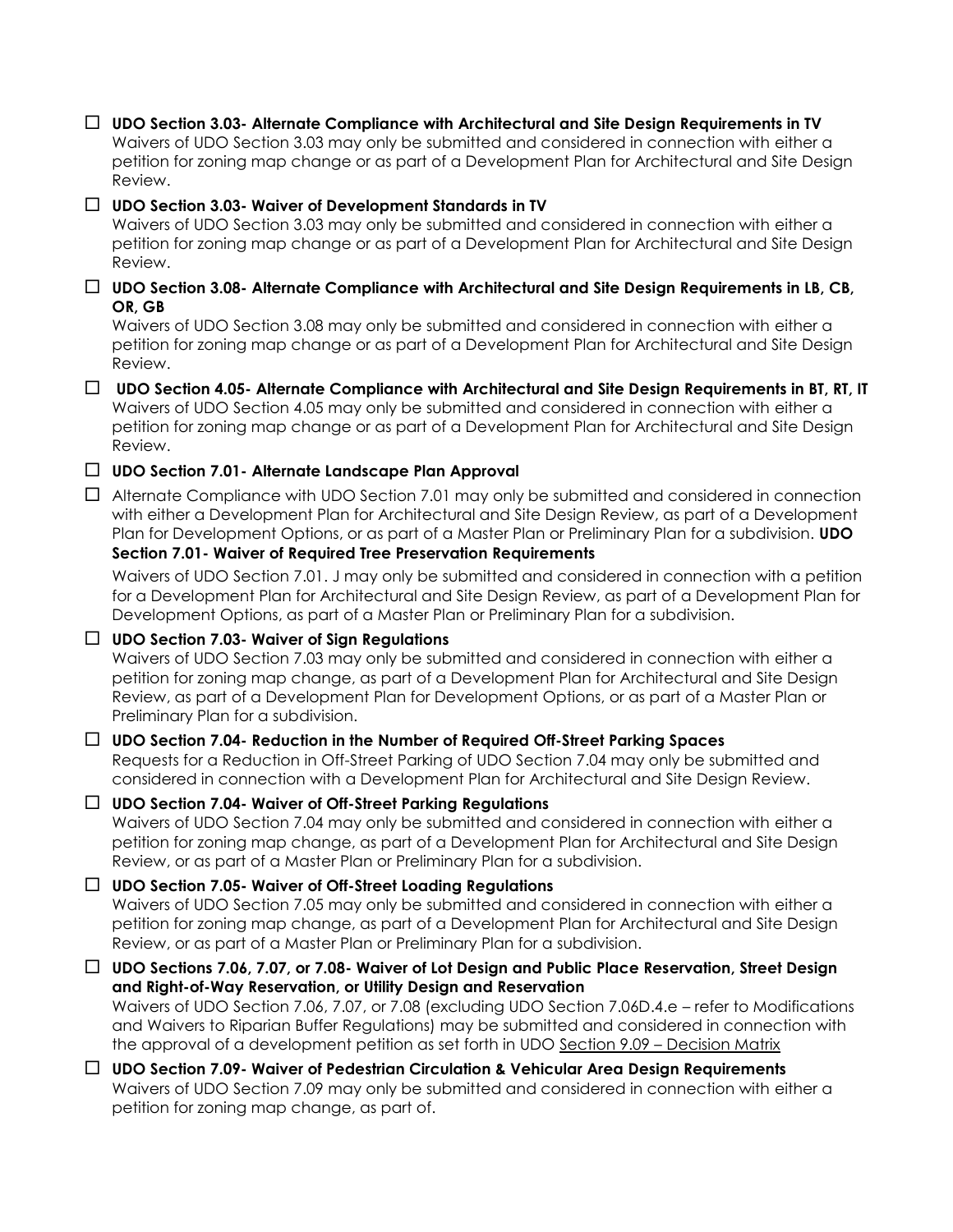**UDO Section 3.03- Alternate Compliance with Architectural and Site Design Requirements in TV**  Waivers of UDO Section 3.03 may only be submitted and considered in connection with either a petition for zoning map change or as part of a Development Plan for Architectural and Site Design Review.

#### **UDO Section 3.03- Waiver of Development Standards in TV**

Waivers of UDO Section 3.03 may only be submitted and considered in connection with either a petition for zoning map change or as part of a Development Plan for Architectural and Site Design Review.

 **UDO Section 3.08- Alternate Compliance with Architectural and Site Design Requirements in LB, CB, OR, GB**

Waivers of UDO Section 3.08 may only be submitted and considered in connection with either a petition for zoning map change or as part of a Development Plan for Architectural and Site Design Review.

 **UDO Section 4.05- Alternate Compliance with Architectural and Site Design Requirements in BT, RT, IT** Waivers of UDO Section 4.05 may only be submitted and considered in connection with either a petition for zoning map change or as part of a Development Plan for Architectural and Site Design Review.

**UDO Section 7.01- Alternate Landscape Plan Approval**

 $\Box$  Alternate Compliance with UDO Section 7.01 may only be submitted and considered in connection with either a Development Plan for Architectural and Site Design Review, as part of a Development Plan for Development Options, or as part of a Master Plan or Preliminary Plan for a subdivision. **UDO Section 7.01- Waiver of Required Tree Preservation Requirements**

Waivers of UDO Section 7.01. J may only be submitted and considered in connection with a petition for a Development Plan for Architectural and Site Design Review, as part of a Development Plan for Development Options, as part of a Master Plan or Preliminary Plan for a subdivision.

#### **UDO Section 7.03- Waiver of Sign Regulations**

Waivers of UDO Section 7.03 may only be submitted and considered in connection with either a petition for zoning map change, as part of a Development Plan for Architectural and Site Design Review, as part of a Development Plan for Development Options, or as part of a Master Plan or Preliminary Plan for a subdivision.

# **UDO Section 7.04- Reduction in the Number of Required Off-Street Parking Spaces**

Requests for a Reduction in Off-Street Parking of UDO Section 7.04 may only be submitted and considered in connection with a Development Plan for Architectural and Site Design Review.

#### **UDO Section 7.04- Waiver of Off-Street Parking Regulations**

Waivers of UDO Section 7.04 may only be submitted and considered in connection with either a petition for zoning map change, as part of a Development Plan for Architectural and Site Design Review, or as part of a Master Plan or Preliminary Plan for a subdivision.

#### **UDO Section 7.05- Waiver of Off-Street Loading Regulations**

Waivers of UDO Section 7.05 may only be submitted and considered in connection with either a petition for zoning map change, as part of a Development Plan for Architectural and Site Design Review, or as part of a Master Plan or Preliminary Plan for a subdivision.

#### **UDO Sections 7.06, 7.07, or 7.08- Waiver of Lot Design and Public Place Reservation, Street Design and Right-of-Way Reservation, or Utility Design and Reservation**

Waivers of UDO Section 7.06, 7.07, or 7.08 (excluding UDO Section 7.06D.4.e – refer to Modifications and Waivers to Riparian Buffer Regulations) may be submitted and considered in connection with the approval of a development petition as set forth in UDO Section 9.09 – Decision Matrix

#### **UDO Section 7.09- Waiver of Pedestrian Circulation & Vehicular Area Design Requirements** Waivers of UDO Section 7.09 may only be submitted and considered in connection with either a petition for zoning map change, as part of.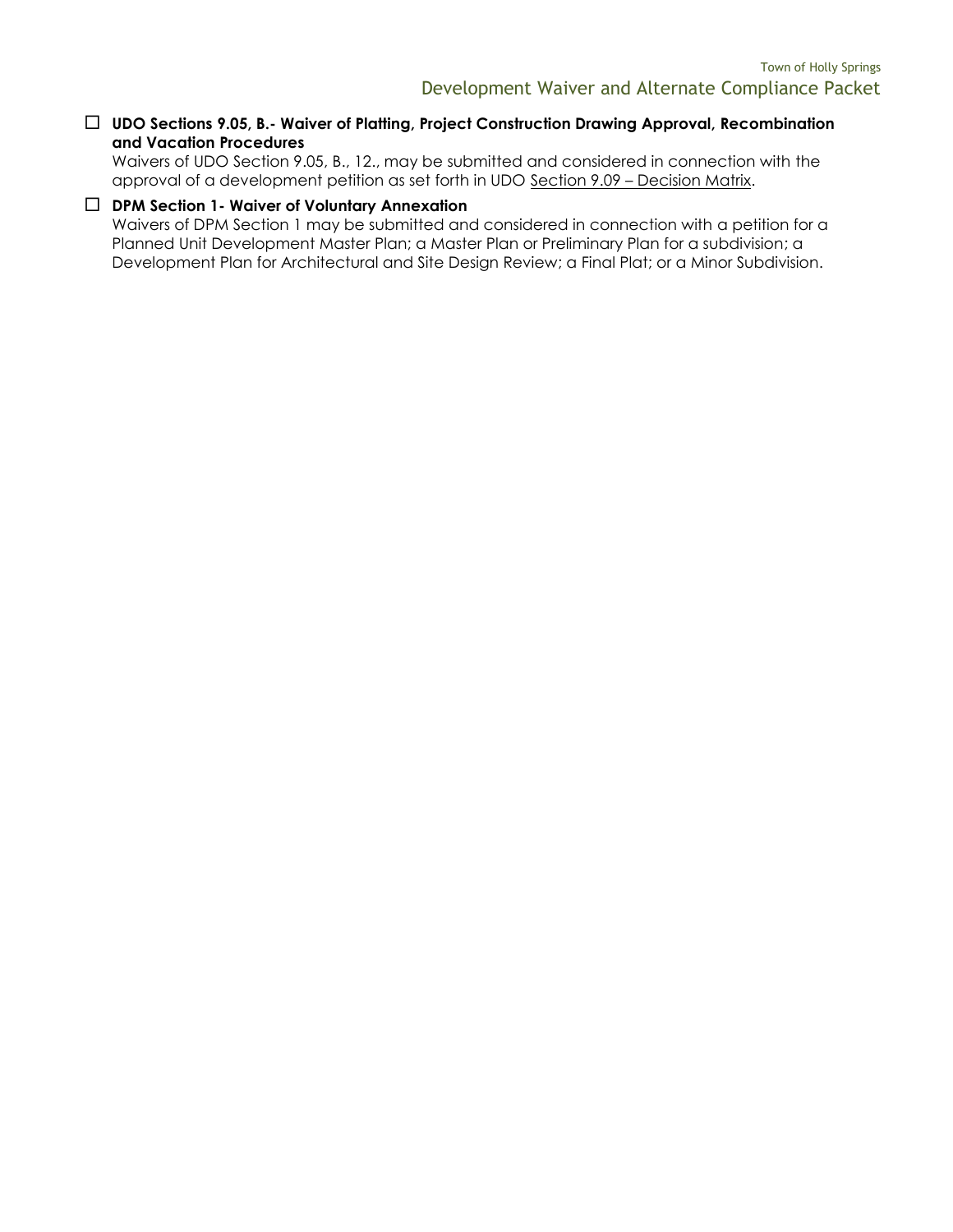#### **UDO Sections 9.05, B.- Waiver of Platting, Project Construction Drawing Approval, Recombination and Vacation Procedures**

Waivers of UDO Section 9.05, B., 12., may be submitted and considered in connection with the approval of a development petition as set forth in UDO Section 9.09 - Decision Matrix.

#### **DPM Section 1- Waiver of Voluntary Annexation**

Waivers of DPM Section 1 may be submitted and considered in connection with a petition for a Planned Unit Development Master Plan; a Master Plan or Preliminary Plan for a subdivision; a Development Plan for Architectural and Site Design Review; a Final Plat; or a Minor Subdivision.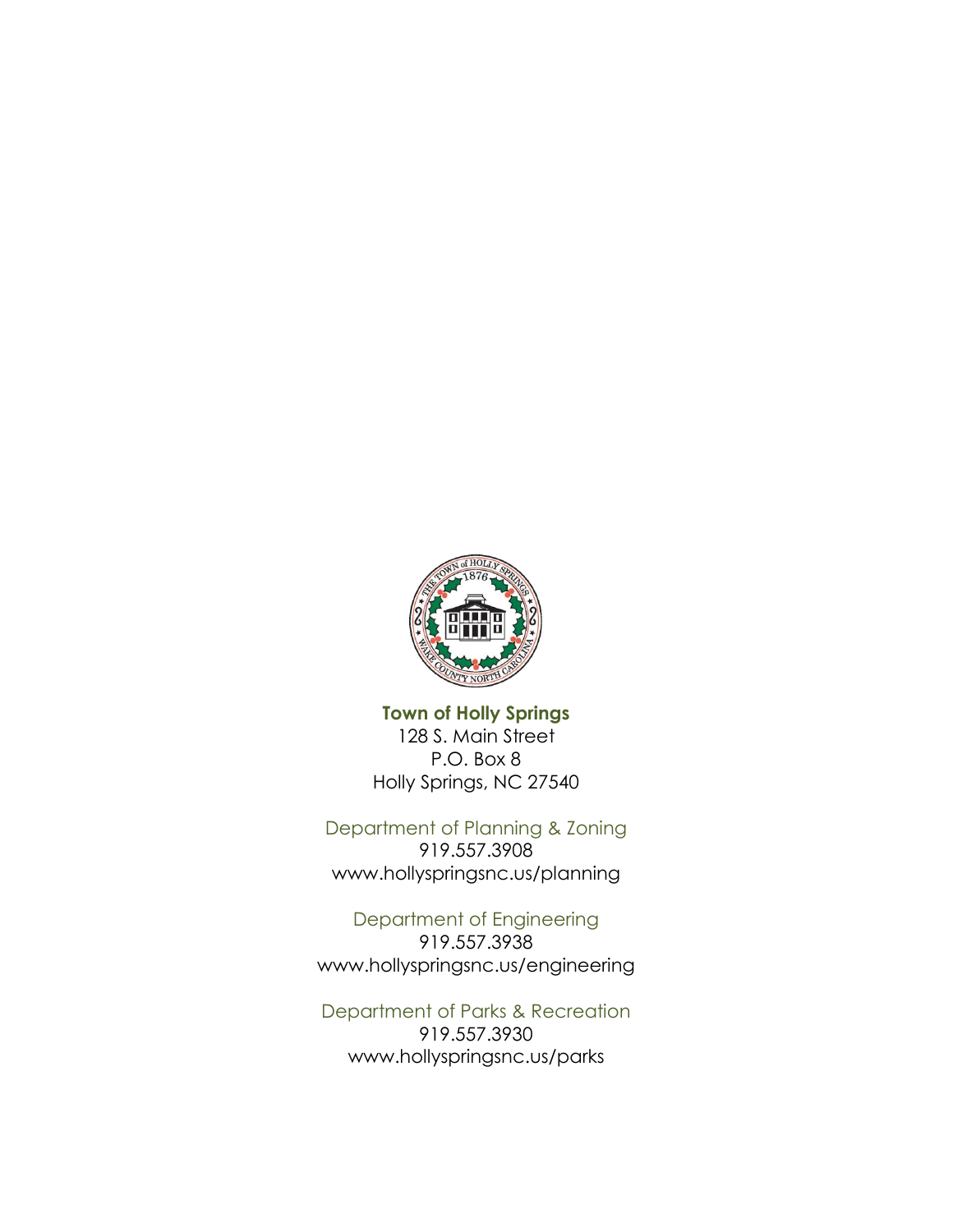

**Town of Holly Springs** 128 S. Main Street P.O. Box 8 Holly Springs, NC 27540

Department of Planning & Zoning 919.557.3908 www.hollyspringsnc.us/planning

Department of Engineering 919.557.3938 www.hollyspringsnc.us/engineering

Department of Parks & Recreation 919.557.3930 www.hollyspringsnc.us/parks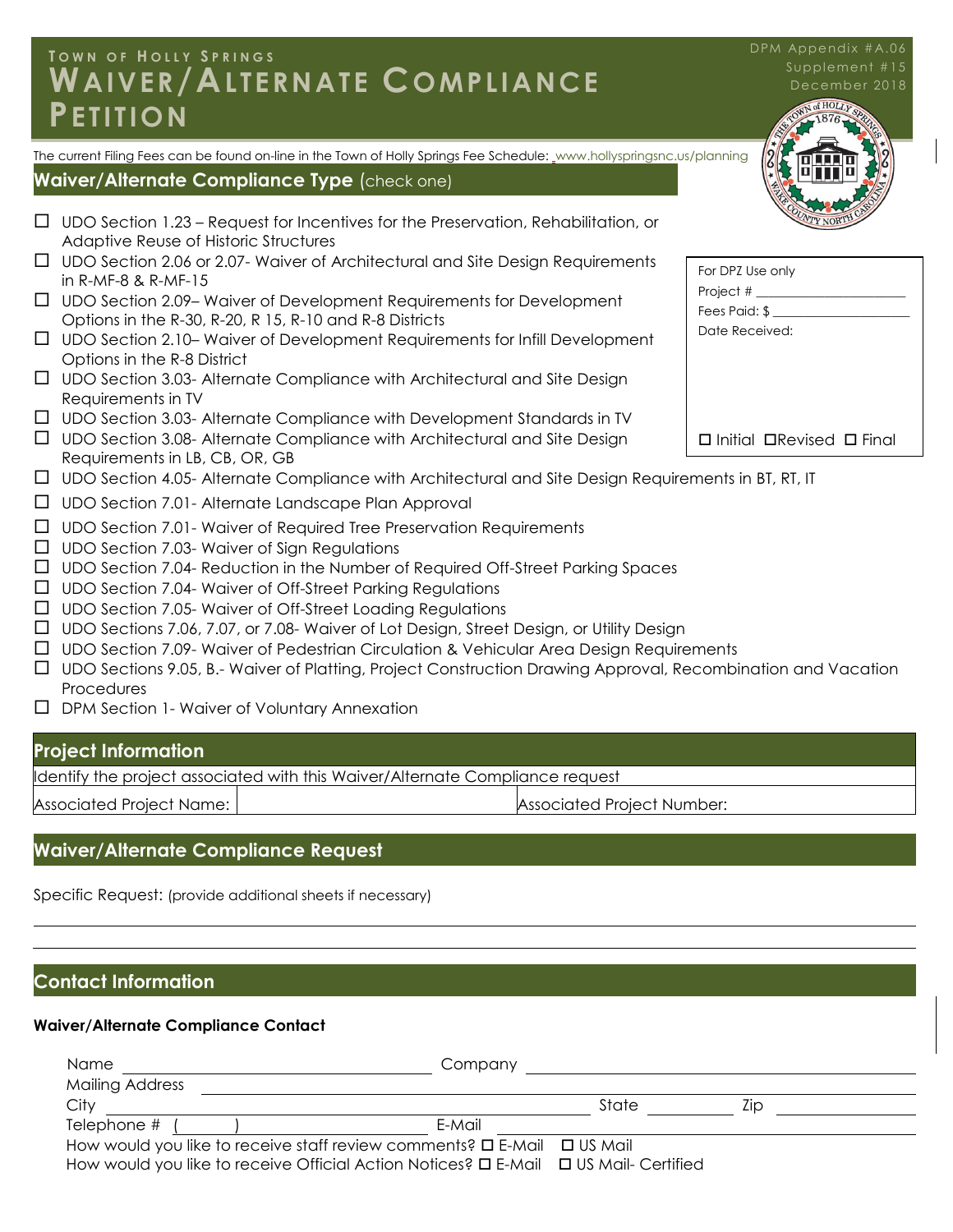#### I A I V F R / *I* Development Waiver Waiver Compliance Packet Complete Complete Complete Complete Complete Complete Complete Com<br>Packet Complete Complete Complete Complete Complete Complete Complete Complete Complete Complete Complete Comp **T O W N O F H O L L Y S P R I N G S WAIVER/ALTERNATE COMPLIANCE PETITION**

The current Filing Fees can be found on-line in the Town of Holly Springs Fee Schedule: www.hollyspringsnc.us/planning

#### **Waiver/Alternate Compliance Type** (check one)

- $\Box$  UDO Section 1.23 Request for Incentives for the Preservation, Rehabilitation, or Adaptive Reuse of Historic Structures
- $\Box$  UDO Section 2.06 or 2.07- Waiver of Architectural and Site Design Requirements in R-MF-8 & R-MF-15
- $\Box$  UDO Section 2.09– Waiver of Development Requirements for Development Options in the R-30, R-20, R 15, R-10 and R-8 Districts
- UDO Section 2.10– Waiver of Development Requirements for Infill Development Options in the R-8 District
- $\Box$  UDO Section 3.03- Alternate Compliance with Architectural and Site Design Requirements in TV
- $\Box$  UDO Section 3.03- Alternate Compliance with Development Standards in TV
- $\Box$  UDO Section 3.08- Alternate Compliance with Architectural and Site Design Requirements in LB, CB, OR, GB
- UDO Section 4.05- Alternate Compliance with Architectural and Site Design Requirements in BT, RT, IT
- $\Box$  UDO Section 7.01- Alternate Landscape Plan Approval
- $\Box$  UDO Section 7.01- Waiver of Required Tree Preservation Requirements
- $\Box$  UDO Section 7.03- Waiver of Sign Regulations
- $\Box$  UDO Section 7.04- Reduction in the Number of Required Off-Street Parking Spaces
- $\Box$  UDO Section 7.04- Waiver of Off-Street Parking Regulations
- $\Box$  UDO Section 7.05- Waiver of Off-Street Loading Regulations
- UDO Sections 7.06, 7.07, or 7.08- Waiver of Lot Design, Street Design, or Utility Design
- UDO Section 7.09- Waiver of Pedestrian Circulation & Vehicular Area Design Requirements
- UDO Sections 9.05, B.- Waiver of Platting, Project Construction Drawing Approval, Recombination and Vacation **Procedures**
- □ DPM Section 1- Waiver of Voluntary Annexation

#### **Project Information**

Identify the project associated with this Waiver/Alternate Compliance request

Associated Project Name: Associated Project Number:

#### **Waiver/Alternate Compliance Request**

Specific Request: (provide additional sheets if necessary)

#### **Contact Information**

#### **Waiver/Alternate Compliance Contact**

| Name                                                                                           | Company |       |     |
|------------------------------------------------------------------------------------------------|---------|-------|-----|
| Mailing Address                                                                                |         |       |     |
| City                                                                                           |         | State | LID |
| Telephone #                                                                                    | E-Mail  |       |     |
| How would you like to receive staff review comments? $\square$ E-Mail $\square$ US Mail        |         |       |     |
| How would you like to receive Official Action Notices? $\Box$ E-Mail $\Box$ US Mail- Certified |         |       |     |



DPM Appendix #A.06

| For DPZ Use only   |
|--------------------|
| Project $#$ $\_\_$ |
| Fees Paid: \$      |
| Date Received:     |
|                    |
|                    |
|                    |
|                    |
|                    |

 $\Box$  Initial  $\Box$ Revised  $\Box$  Final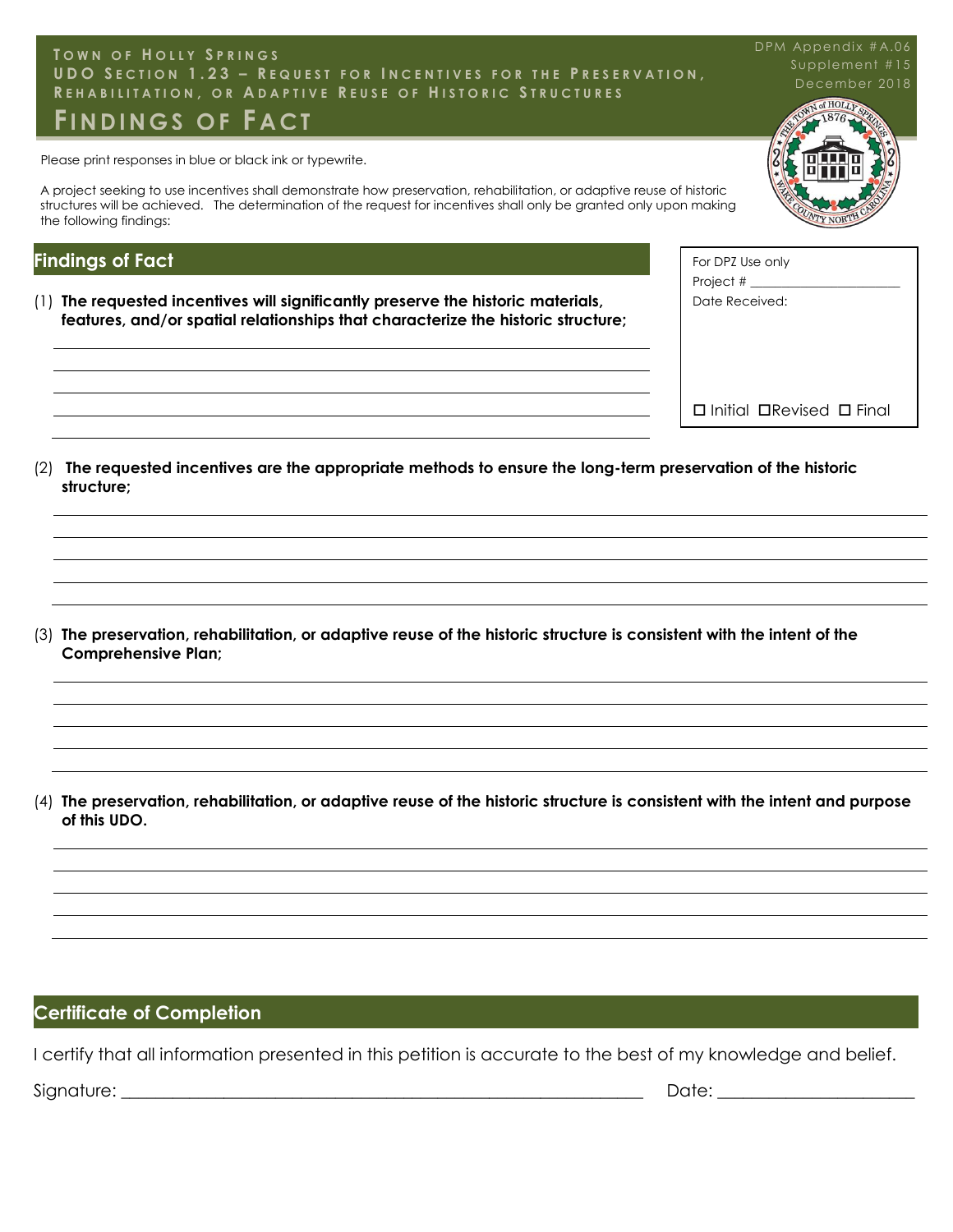#### Town of Holly Springs **U D O S E C T I O N 1 . 2 3 – R E Q U E S T F O R I N C E N T I V E S F O R T H E P R E S E R V A T I O N ,** REHABILITATION, OR ADAPTIVE REUSE OF HISTORIC STRUCTURES<br>— **T O W N O F H O L L Y S P R I N G S FI N D I N G S O F F A C T**

Please print responses in blue or black ink or typewrite.

A project seeking to use incentives shall demonstrate how preservation, rehabilitation, or adaptive reuse of historic structures will be achieved. The determination of the request for incentives shall only be granted only upon making the following findings:

## **Findings of Fact**

- (1) **The requested incentives will significantly preserve the historic materials, features, and/or spatial relationships that characterize the historic structure;**
- Project  $#$   $\_\_$ Date Received:

 $\square$  Initial  $\square$ Revised  $\square$  Final

For DPZ Use only

(2) **The requested incentives are the appropriate methods to ensure the long-term preservation of the historic structure;**

(3) **The preservation, rehabilitation, or adaptive reuse of the historic structure is consistent with the intent of the Comprehensive Plan;**

(4) **The preservation, rehabilitation, or adaptive reuse of the historic structure is consistent with the intent and purpose of this UDO.**

# **Certificate of Completion**

I certify that all information presented in this petition is accurate to the best of my knowledge and belief.

Signature: \_\_\_\_\_\_\_\_\_\_\_\_\_\_\_\_\_\_\_\_\_\_\_\_\_\_\_\_\_\_\_\_\_\_\_\_\_\_\_\_\_\_\_\_\_\_\_\_\_\_\_\_\_\_\_\_\_\_\_\_\_ Date: \_\_\_\_\_\_\_\_\_\_\_\_\_\_\_\_\_\_\_\_\_\_\_

December 2018 DPM Appendix #A.06 Supplement #15

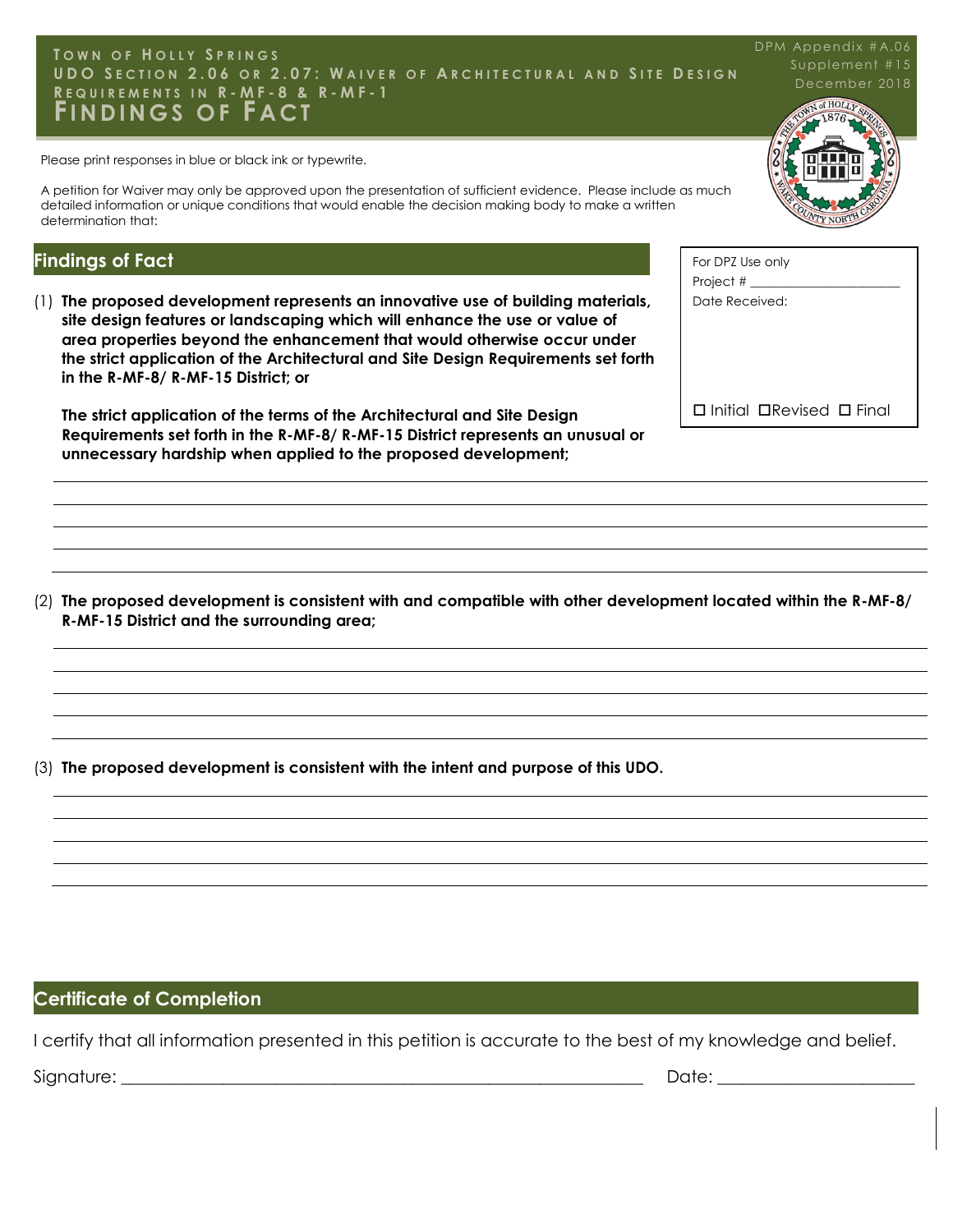#### **T O W N O F H O L L Y S P R I N G S U D O S E C T I O N 2 . 0 6 O R 2 . 0 7 : W A I V E R O F A R C H I T E C T U R A L A N D S I T E D E S I G N R E Q U I R E M E N T S I N R - M F - 8 & R - M F - 1 FI N D I N G S O F F A C T** DPM Appendix #A.06

Please print responses in blue or black ink or typewrite.

A petition for Waiver may only be approved upon the presentation of sufficient evidence. Please include as much detailed information or unique conditions that would enable the decision making body to make a written determination that:

#### **Findings of Fact**

(1) **The proposed development represents an innovative use of building materials, site design features or landscaping which will enhance the use or value of area properties beyond the enhancement that would otherwise occur under the strict application of the Architectural and Site Design Requirements set forth in the R-MF-8/ R-MF-15 District; or** 

**The strict application of the terms of the Architectural and Site Design Requirements set forth in the R-MF-8/ R-MF-15 District represents an unusual or unnecessary hardship when applied to the proposed development;**

(2) **The proposed development is consistent with and compatible with other development located within the R-MF-8/ R-MF-15 District and the surrounding area;**

(3) **The proposed development is consistent with the intent and purpose of this UDO.**

#### **Certificate of Completion**

I certify that all information presented in this petition is accurate to the best of my knowledge and belief.

Signature: \_\_\_\_\_\_\_\_\_\_\_\_\_\_\_\_\_\_\_\_\_\_\_\_\_\_\_\_\_\_\_\_\_\_\_\_\_\_\_\_\_\_\_\_\_\_\_\_\_\_\_\_\_\_\_\_\_\_\_\_\_ Date: \_\_\_\_\_\_\_\_\_\_\_\_\_\_\_\_\_\_\_\_\_\_\_

Supplement #15 Vof HOLLY



| For DPZ Use only            |
|-----------------------------|
| Project #                   |
| Date Received:              |
|                             |
|                             |
|                             |
|                             |
| □ Initial □ Revised □ Final |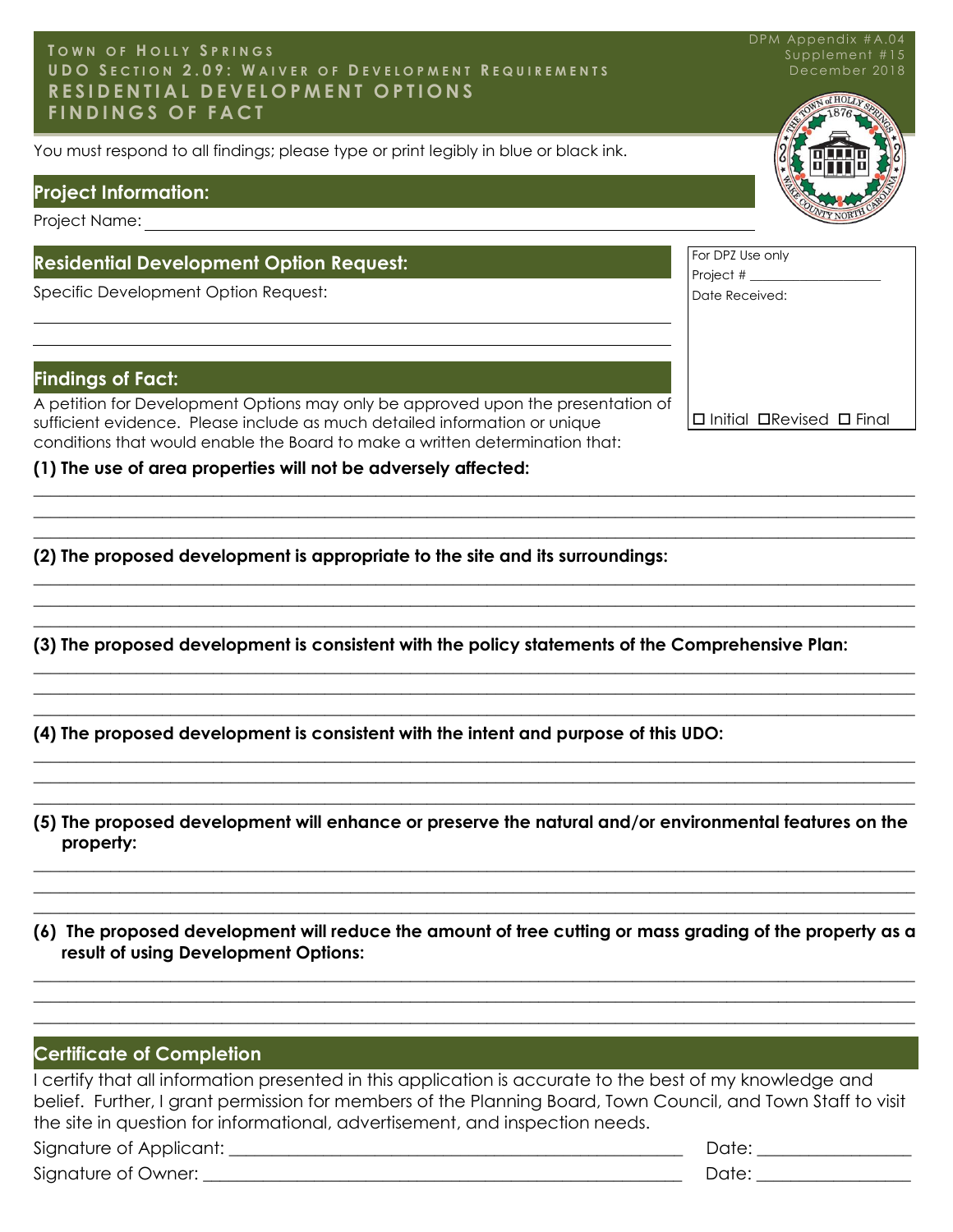#### Town of Holly Springs RESIDENTIAL DEVELOPMENT OPTIONS<br>FINDINGS OF EACT **T O W N O F H O L L Y S P R I N G S U D O S E C T I O N 2 . 0 9 : W A I V E R O F D E V E L O P M E N T R E Q U I R E M E N T S F I N D I N G S O F F A C T**

You must respond to all findings; please type or print legibly in blue or black ink.

#### **Project Information:**

Project Name:

#### **Residential Development Option Request:**

Specific Development Option Request:

#### **Findings of Fact:**

A petition for Development Options may only be approved upon the presentation of sufficient evidence. Please include as much detailed information or unique conditions that would enable the Board to make a written determination that:

**(1) The use of area properties will not be adversely affected:** 

**(2) The proposed development is appropriate to the site and its surroundings:**

**(3) The proposed development is consistent with the policy statements of the Comprehensive Plan:**

\_\_\_\_\_\_\_\_\_\_\_\_\_\_\_\_\_\_\_\_\_\_\_\_\_\_\_\_\_\_\_\_\_\_\_\_\_\_\_\_\_\_\_\_\_\_\_\_\_\_\_\_\_\_\_\_\_\_\_\_\_\_\_\_\_\_\_\_\_\_\_\_\_\_\_\_\_\_\_\_\_\_\_\_\_\_\_\_\_\_\_\_\_\_\_\_\_\_\_\_\_\_\_  $\_$  , and the set of the set of the set of the set of the set of the set of the set of the set of the set of the set of the set of the set of the set of the set of the set of the set of the set of the set of the set of th \_\_\_\_\_\_\_\_\_\_\_\_\_\_\_\_\_\_\_\_\_\_\_\_\_\_\_\_\_\_\_\_\_\_\_\_\_\_\_\_\_\_\_\_\_\_\_\_\_\_\_\_\_\_\_\_\_\_\_\_\_\_\_\_\_\_\_\_\_\_\_\_\_\_\_\_\_\_\_\_\_\_\_\_\_\_\_\_\_\_\_\_\_\_\_\_\_\_\_\_\_\_\_

\_\_\_\_\_\_\_\_\_\_\_\_\_\_\_\_\_\_\_\_\_\_\_\_\_\_\_\_\_\_\_\_\_\_\_\_\_\_\_\_\_\_\_\_\_\_\_\_\_\_\_\_\_\_\_\_\_\_\_\_\_\_\_\_\_\_\_\_\_\_\_\_\_\_\_\_\_\_\_\_\_\_\_\_\_\_\_\_\_\_\_\_\_\_\_\_\_\_\_\_\_\_\_  $\_$  , and the set of the set of the set of the set of the set of the set of the set of the set of the set of the set of the set of the set of the set of the set of the set of the set of the set of the set of the set of th  $\_$  , and the set of the set of the set of the set of the set of the set of the set of the set of the set of the set of the set of the set of the set of the set of the set of the set of the set of the set of the set of th

 $\_$  , and the set of the set of the set of the set of the set of the set of the set of the set of the set of the set of the set of the set of the set of the set of the set of the set of the set of the set of the set of th  $\_$  , and the set of the set of the set of the set of the set of the set of the set of the set of the set of the set of the set of the set of the set of the set of the set of the set of the set of the set of the set of th  $\_$  , and the set of the set of the set of the set of the set of the set of the set of the set of the set of the set of the set of the set of the set of the set of the set of the set of the set of the set of the set of th

**(4) The proposed development is consistent with the intent and purpose of this UDO:**

**(5) The proposed development will enhance or preserve the natural and/or environmental features on the property:**

 $\_$  , and the set of the set of the set of the set of the set of the set of the set of the set of the set of the set of the set of the set of the set of the set of the set of the set of the set of the set of the set of th  $\_$  , and the set of the set of the set of the set of the set of the set of the set of the set of the set of the set of the set of the set of the set of the set of the set of the set of the set of the set of the set of th  $\_$  , and the set of the set of the set of the set of the set of the set of the set of the set of the set of the set of the set of the set of the set of the set of the set of the set of the set of the set of the set of th

 $\_$  , and the set of the set of the set of the set of the set of the set of the set of the set of the set of the set of the set of the set of the set of the set of the set of the set of the set of the set of the set of th  $\_$  , and the set of the set of the set of the set of the set of the set of the set of the set of the set of the set of the set of the set of the set of the set of the set of the set of the set of the set of the set of th  $\_$  , and the set of the set of the set of the set of the set of the set of the set of the set of the set of the set of the set of the set of the set of the set of the set of the set of the set of the set of the set of th

**(6) The proposed development will reduce the amount of tree cutting or mass grading of the property as a result of using Development Options:**

 $\_$  , and the set of the set of the set of the set of the set of the set of the set of the set of the set of the set of the set of the set of the set of the set of the set of the set of the set of the set of the set of th  $\_$  , and the set of the set of the set of the set of the set of the set of the set of the set of the set of the set of the set of the set of the set of the set of the set of the set of the set of the set of the set of th  $\_$  , and the set of the set of the set of the set of the set of the set of the set of the set of the set of the set of the set of the set of the set of the set of the set of the set of the set of the set of the set of th

#### **Certificate of Completion**

I certify that all information presented in this application is accurate to the best of my knowledge and belief. Further, I grant permission for members of the Planning Board, Town Council, and Town Staff to visit the site in question for informational, advertisement, and inspection needs. Signature of Applicant: \_\_\_\_\_\_\_\_\_\_\_\_\_\_\_\_\_\_\_\_\_\_\_\_\_\_\_\_\_\_\_\_\_\_\_\_\_\_\_\_\_\_\_\_\_\_\_\_\_\_\_\_\_ Date: \_\_\_\_\_\_\_\_\_\_\_\_\_\_\_\_\_\_

Signature of Owner: \_\_\_\_\_\_\_\_\_\_\_\_\_\_\_\_\_\_\_\_\_\_\_\_\_\_\_\_\_\_\_\_\_\_\_\_\_\_\_\_\_\_\_\_\_\_\_\_\_\_\_\_\_\_\_\_ Date: \_\_\_\_\_\_\_\_\_\_\_\_\_\_\_\_\_\_



Date Received:

 $\Box$  Initial  $\Box$ Revised  $\Box$  Final

| December 2018    |  |
|------------------|--|
| WN of HOLLY SING |  |
|                  |  |

DPM Appendix #A.04 Supplement #15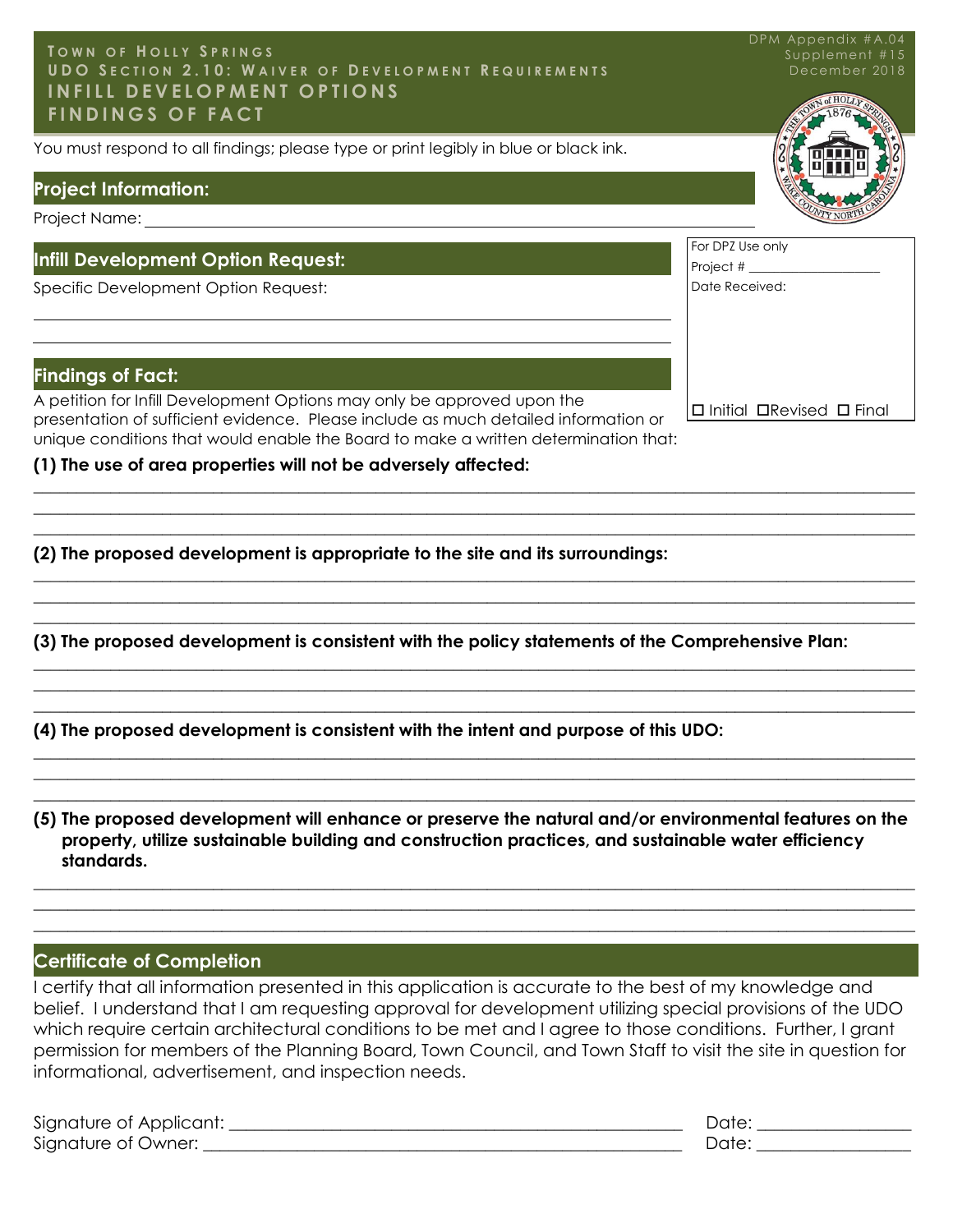#### **T O W N O F H O L L Y S P R I N G S U D O S E C T I O N 2 . 1 0 : W A I V E R O F D E V E L O P M E N T R E Q U I R E M E N T S I N F I L L D E V E L O P M E N T O P T I O N S F I N D I N G S O F F A C T**

You must respond to all findings; please type or print legibly in blue or black ink.

#### **Project Information:**

Project Name:

#### **Infill Development Option Request:**

Specific Development Option Request:

#### **Findings of Fact:**

A petition for Infill Development Options may only be approved upon the presentation of sufficient evidence. Please include as much detailed information or unique conditions that would enable the Board to make a written determination that:

**(1) The use of area properties will not be adversely affected:** 

**(2) The proposed development is appropriate to the site and its surroundings:**

**(3) The proposed development is consistent with the policy statements of the Comprehensive Plan:**

 $\_$  , and the set of the set of the set of the set of the set of the set of the set of the set of the set of the set of the set of the set of the set of the set of the set of the set of the set of the set of the set of th  $\_$  , and the set of the set of the set of the set of the set of the set of the set of the set of the set of the set of the set of the set of the set of the set of the set of the set of the set of the set of the set of th  $\_$  , and the set of the set of the set of the set of the set of the set of the set of the set of the set of the set of the set of the set of the set of the set of the set of the set of the set of the set of the set of th

 $\_$  , and the set of the set of the set of the set of the set of the set of the set of the set of the set of the set of the set of the set of the set of the set of the set of the set of the set of the set of the set of th  $\_$  , and the set of the set of the set of the set of the set of the set of the set of the set of the set of the set of the set of the set of the set of the set of the set of the set of the set of the set of the set of th  $\_$  , and the set of the set of the set of the set of the set of the set of the set of the set of the set of the set of the set of the set of the set of the set of the set of the set of the set of the set of the set of th

 $\_$  , and the set of the set of the set of the set of the set of the set of the set of the set of the set of the set of the set of the set of the set of the set of the set of the set of the set of the set of the set of th  $\_$  , and the set of the set of the set of the set of the set of the set of the set of the set of the set of the set of the set of the set of the set of the set of the set of the set of the set of the set of the set of th  $\_$  , and the set of the set of the set of the set of the set of the set of the set of the set of the set of the set of the set of the set of the set of the set of the set of the set of the set of the set of the set of th

\_\_\_\_\_\_\_\_\_\_\_\_\_\_\_\_\_\_\_\_\_\_\_\_\_\_\_\_\_\_\_\_\_\_\_\_\_\_\_\_\_\_\_\_\_\_\_\_\_\_\_\_\_\_\_\_\_\_\_\_\_\_\_\_\_\_\_\_\_\_\_\_\_\_\_\_\_\_\_\_\_\_\_\_\_\_\_\_\_\_\_\_\_\_\_\_\_\_\_\_\_\_\_  $\_$  , and the set of the set of the set of the set of the set of the set of the set of the set of the set of the set of the set of the set of the set of the set of the set of the set of the set of the set of the set of th \_\_\_\_\_\_\_\_\_\_\_\_\_\_\_\_\_\_\_\_\_\_\_\_\_\_\_\_\_\_\_\_\_\_\_\_\_\_\_\_\_\_\_\_\_\_\_\_\_\_\_\_\_\_\_\_\_\_\_\_\_\_\_\_\_\_\_\_\_\_\_\_\_\_\_\_\_\_\_\_\_\_\_\_\_\_\_\_\_\_\_\_\_\_\_\_\_\_\_\_\_\_\_

**(4) The proposed development is consistent with the intent and purpose of this UDO:**

**(5) The proposed development will enhance or preserve the natural and/or environmental features on the property, utilize sustainable building and construction practices, and sustainable water efficiency standards.**

\_\_\_\_\_\_\_\_\_\_\_\_\_\_\_\_\_\_\_\_\_\_\_\_\_\_\_\_\_\_\_\_\_\_\_\_\_\_\_\_\_\_\_\_\_\_\_\_\_\_\_\_\_\_\_\_\_\_\_\_\_\_\_\_\_\_\_\_\_\_\_\_\_\_\_\_\_\_\_\_\_\_\_\_\_\_\_\_\_\_\_\_\_\_\_\_\_\_\_\_\_\_\_  $\_$  , and the set of the set of the set of the set of the set of the set of the set of the set of the set of the set of the set of the set of the set of the set of the set of the set of the set of the set of the set of th  $\_$  , and the set of the set of the set of the set of the set of the set of the set of the set of the set of the set of the set of the set of the set of the set of the set of the set of the set of the set of the set of th

#### **Certificate of Completion**

I certify that all information presented in this application is accurate to the best of my knowledge and belief. I understand that I am requesting approval for development utilizing special provisions of the UDO which require certain architectural conditions to be met and I agree to those conditions. Further, I grant permission for members of the Planning Board, Town Council, and Town Staff to visit the site in question for informational, advertisement, and inspection needs.

| Signature of Applicant: | Jate |
|-------------------------|------|
| Signature of Owner:     |      |



|                    | WTY NORTH |
|--------------------|-----------|
|                    |           |
| For DPZ Use only   |           |
| Project $#$ $\_\_$ |           |
| Date Received:     |           |
|                    |           |
|                    |           |
|                    |           |
|                    |           |

 $\Box$  Initial  $\Box$ Revised  $\Box$  Final

DPM Appendix #A.04 Supplement #15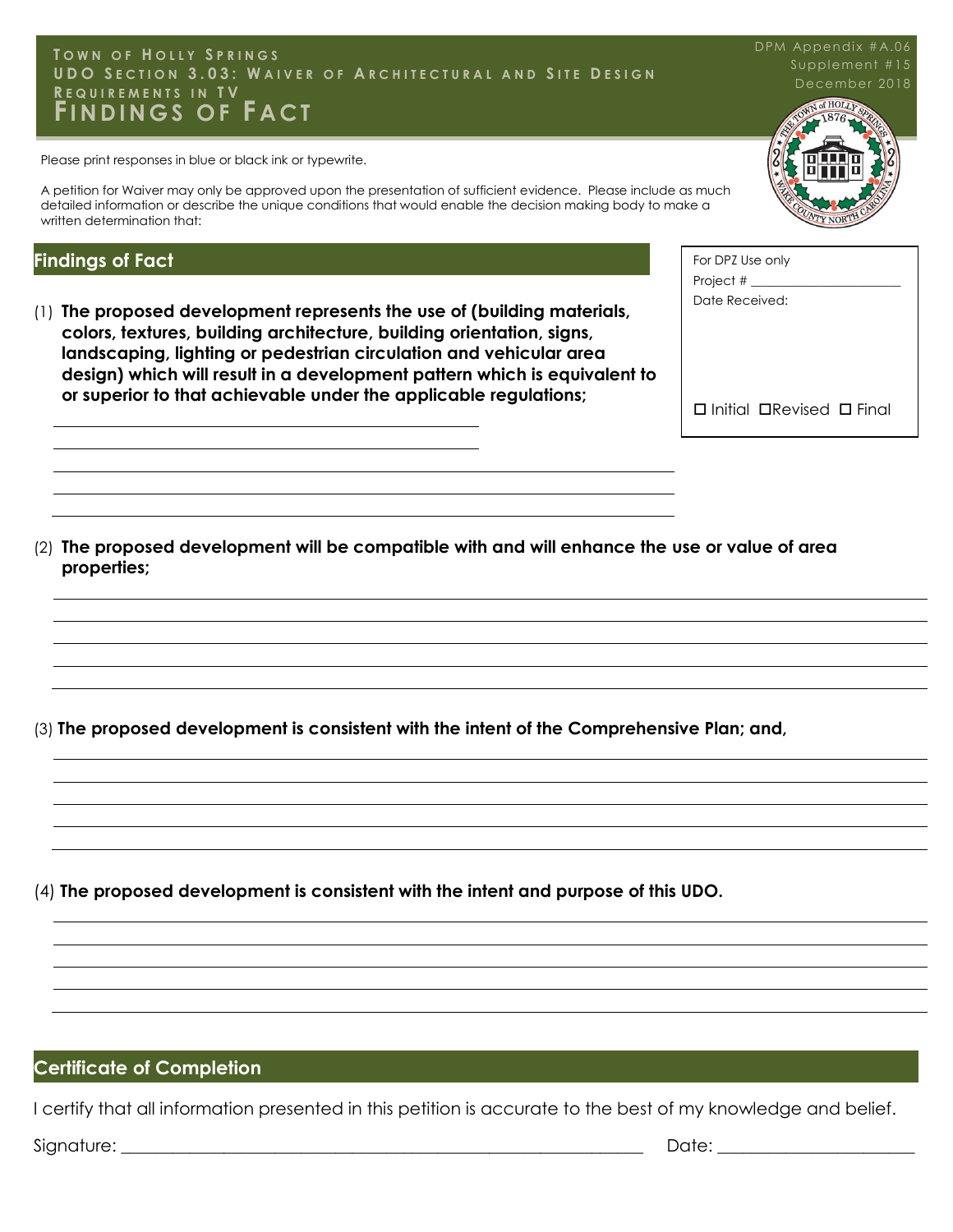#### **UDO** SECTION 3.03: WAIVER OF ARCHITECTURAL AND SITE DESIGN **FEQUIREMENTS IN TV<br>FINDINGS OF FACT T O W N O F H O L L Y S P R I N G S REQUIREMENTS IN TV**

Please print responses in blue or black ink or typewrite.

A petition for Waiver may only be approved upon the presentation of sufficient evidence. Please include as much detailed information or describe the unique conditions that would enable the decision making body to make a written determination that:

#### **Findings of Fact**

(1) **The proposed development represents the use of (building materials, colors, textures, building architecture, building orientation, signs, landscaping, lighting or pedestrian circulation and vehicular area design) which will result in a development pattern which is equivalent to or superior to that achievable under the applicable regulations;**

For DPZ Use only Project # Date Received:  $\square$  Initial  $\square$ Revised  $\square$  Final

(2) **The proposed development will be compatible with and will enhance the use or value of area properties;**

(3) **The proposed development is consistent with the intent of the Comprehensive Plan; and,**

(4) **The proposed development is consistent with the intent and purpose of this UDO.**

#### **Certificate of Completion**

I certify that all information presented in this petition is accurate to the best of my knowledge and belief.

Signature: \_\_\_\_\_\_\_\_\_\_\_\_\_\_\_\_\_\_\_\_\_\_\_\_\_\_\_\_\_\_\_\_\_\_\_\_\_\_\_\_\_\_\_\_\_\_\_\_\_\_\_\_\_\_\_\_\_\_\_\_\_ Date: \_\_\_\_\_\_\_\_\_\_\_\_\_\_\_\_\_\_\_\_\_\_\_

December 2018 Supplement #15

DPM Appendix #A.06

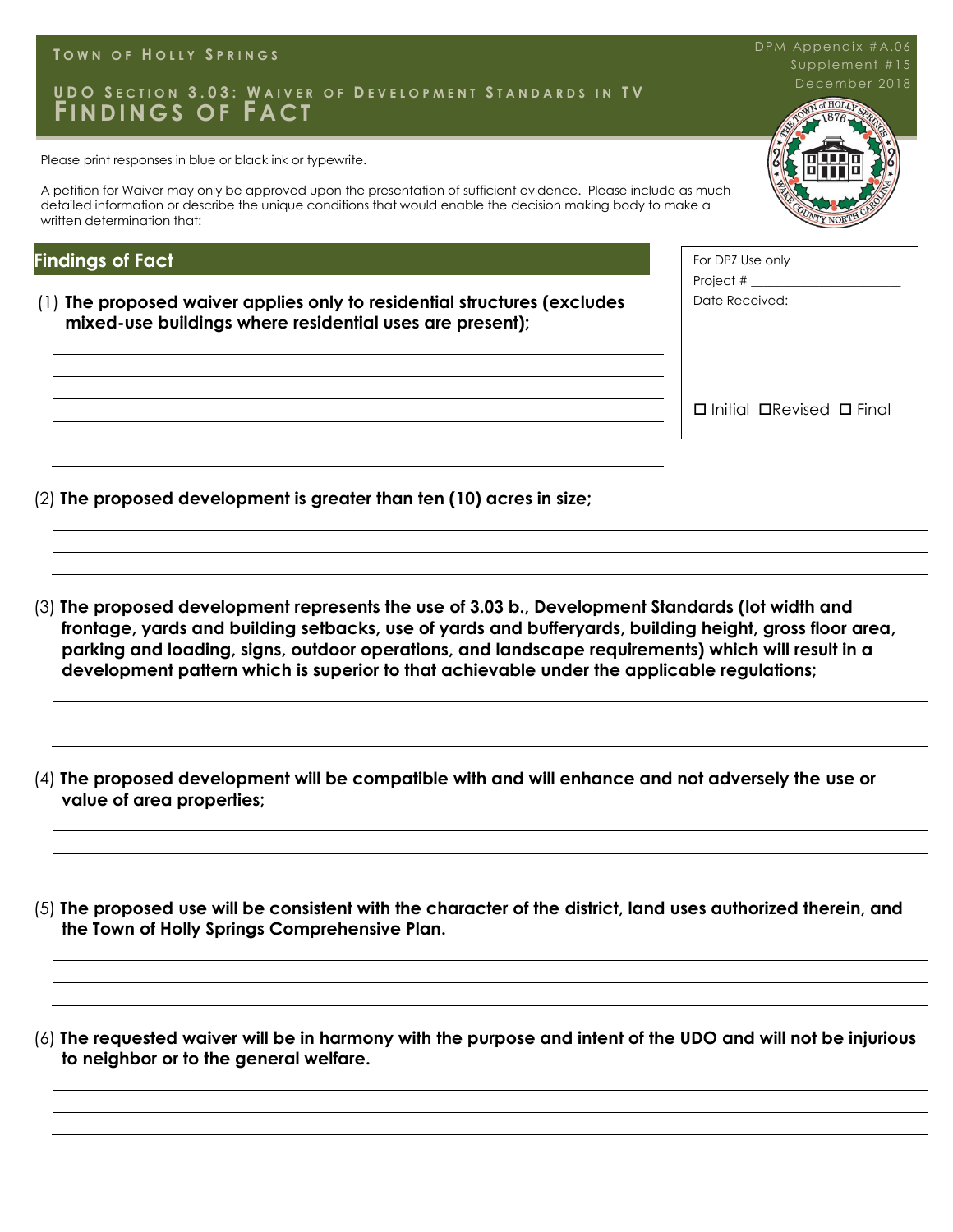#### **T O W N O F H O L L Y S P R I N G S**

#### UDO SECTION 3.03: WAIVER OF DEVELOPMENT STANDARDS IN TV<br>FININIACS OF FACT **FI N D I N G S O F F A C T**

Please print responses in blue or black ink or typewrite.

A petition for Waiver may only be approved upon the presentation of sufficient evidence. Please include as much detailed information or describe the unique conditions that would enable the decision making body to make a written determination that:

#### **Findings of Fact**

(1) **The proposed waiver applies only to residential structures (excludes mixed-use buildings where residential uses are present);**

(2) **The proposed development is greater than ten (10) acres in size;**

(3) **The proposed development represents the use of 3.03 b., Development Standards (lot width and frontage, yards and building setbacks, use of yards and bufferyards, building height, gross floor area, parking and loading, signs, outdoor operations, and landscape requirements) which will result in a development pattern which is superior to that achievable under the applicable regulations;**

- (4) **The proposed development will be compatible with and will enhance and not adversely the use or value of area properties;**
- (5) **The proposed use will be consistent with the character of the district, land uses authorized therein, and the Town of Holly Springs Comprehensive Plan.**
- (6) **The requested waiver will be in harmony with the purpose and intent of the UDO and will not be injurious to neighbor or to the general welfare.**



| For DPZ Use only           |
|----------------------------|
| Project $#_$               |
| Date Received:             |
|                            |
|                            |
|                            |
|                            |
|                            |
| □ Initial □Revised □ Final |

DPM Appendix #A.06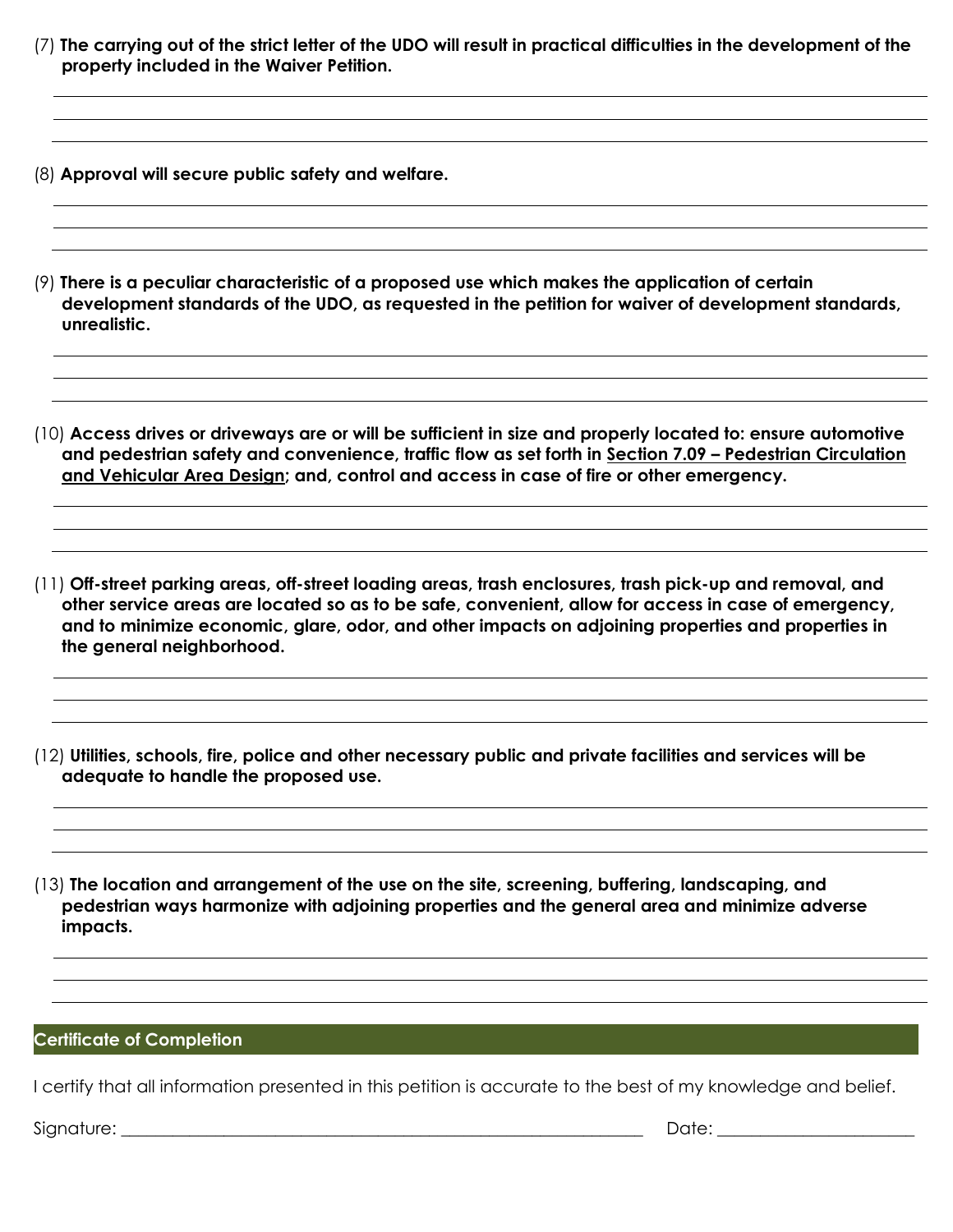- (7) **The carrying out of the strict letter of the UDO will result in practical difficulties in the development of the property included in the Waiver Petition.**
- (8) **Approval will secure public safety and welfare.**
- (9) **There is a peculiar characteristic of a proposed use which makes the application of certain development standards of the UDO, as requested in the petition for waiver of development standards, unrealistic.**

(10) **Access drives or driveways are or will be sufficient in size and properly located to: ensure automotive and pedestrian safety and convenience, traffic flow as set forth in Section 7.09 – Pedestrian Circulation and Vehicular Area Design; and, control and access in case of fire or other emergency.**

- (11) **Off-street parking areas, off-street loading areas, trash enclosures, trash pick-up and removal, and other service areas are located so as to be safe, convenient, allow for access in case of emergency, and to minimize economic, glare, odor, and other impacts on adjoining properties and properties in the general neighborhood.**
- (12) **Utilities, schools, fire, police and other necessary public and private facilities and services will be adequate to handle the proposed use.**
- (13) **The location and arrangement of the use on the site, screening, buffering, landscaping, and pedestrian ways harmonize with adjoining properties and the general area and minimize adverse impacts.**

#### **Certificate of Completion**

I certify that all information presented in this petition is accurate to the best of my knowledge and belief.

Signature: \_\_\_\_\_\_\_\_\_\_\_\_\_\_\_\_\_\_\_\_\_\_\_\_\_\_\_\_\_\_\_\_\_\_\_\_\_\_\_\_\_\_\_\_\_\_\_\_\_\_\_\_\_\_\_\_\_\_\_\_\_ Date: \_\_\_\_\_\_\_\_\_\_\_\_\_\_\_\_\_\_\_\_\_\_\_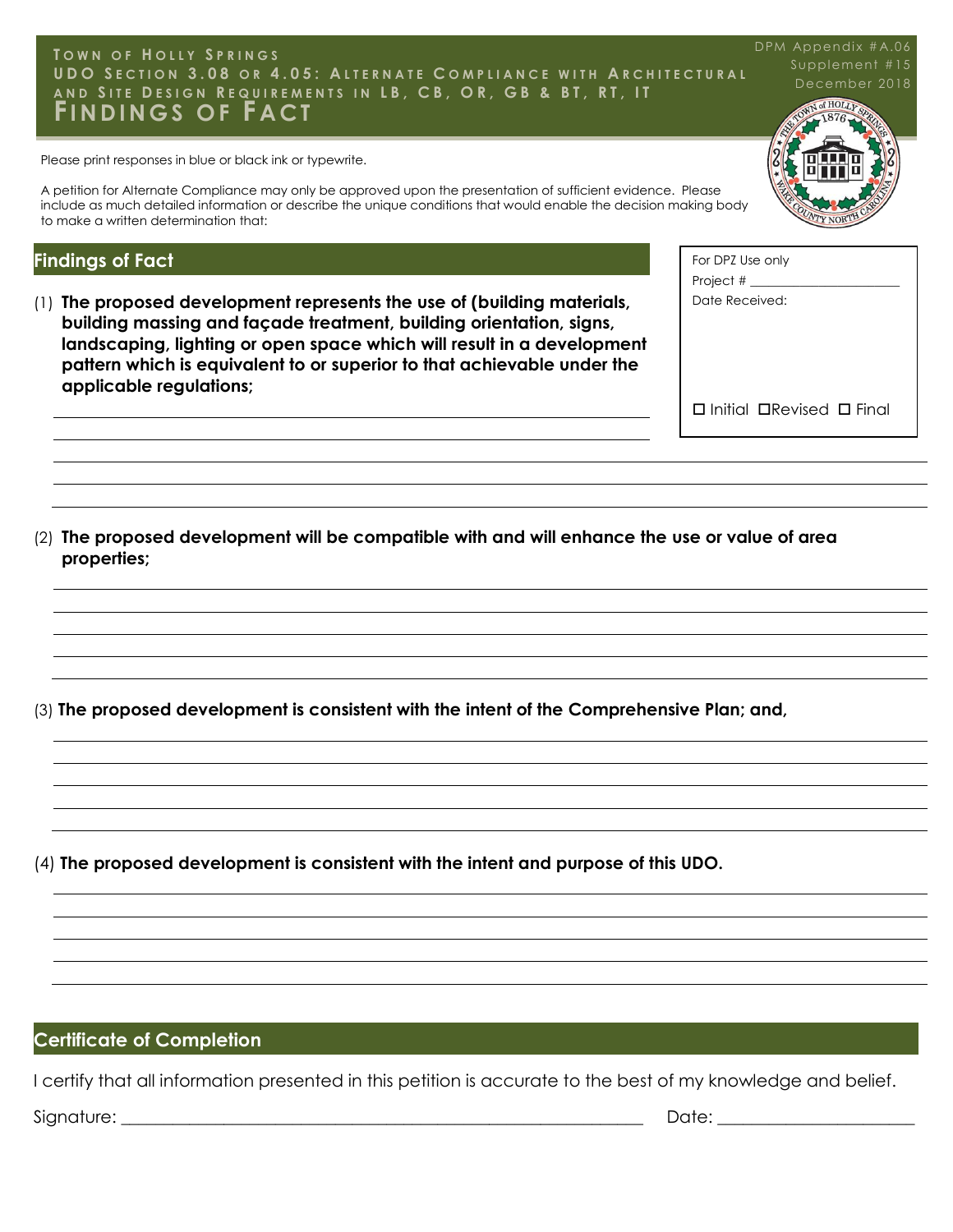#### UDO SECTION 3.08 OR 4.05: ALTERNATE COMPLIANCE WITH ARCHITECTURAL AND SITE DESIGN REQUIREMENTS IN LB, CB, OR, GB & BT, RT, IT<br>EINININGS OF EACT **T O W N O F H O L L Y S P R I N G S FI N D I N G S O F F A C T**

Please print responses in blue or black ink or typewrite.

A petition for Alternate Compliance may only be approved upon the presentation of sufficient evidence. Please include as much detailed information or describe the unique conditions that would enable the decision making body to make a written determination that:

#### **Findings of Fact**

**properties;**

(1) **The proposed development represents the use of (building materials, building massing and façade treatment, building orientation, signs, landscaping, lighting or open space which will result in a development pattern which is equivalent to or superior to that achievable under the applicable regulations;**

(2) **The proposed development will be compatible with and will enhance the use or value of area** 

(3) **The proposed development is consistent with the intent of the Comprehensive Plan; and,**

(4) **The proposed development is consistent with the intent and purpose of this UDO.**

#### **Certificate of Completion**

I certify that all information presented in this petition is accurate to the best of my knowledge and belief. Signature: \_\_\_\_\_\_\_\_\_\_\_\_\_\_\_\_\_\_\_\_\_\_\_\_\_\_\_\_\_\_\_\_\_\_\_\_\_\_\_\_\_\_\_\_\_\_\_\_\_\_\_\_\_\_\_\_\_\_\_\_\_ Date: \_\_\_\_\_\_\_\_\_\_\_\_\_\_\_\_\_\_\_\_\_\_\_



| For DPZ Use only                           |
|--------------------------------------------|
| Project $#_$                               |
| Date Received:                             |
|                                            |
|                                            |
|                                            |
|                                            |
| $\Box$ Initial $\Box$ Revised $\Box$ Final |

#### DPM Appendix #A.06

Supplement #15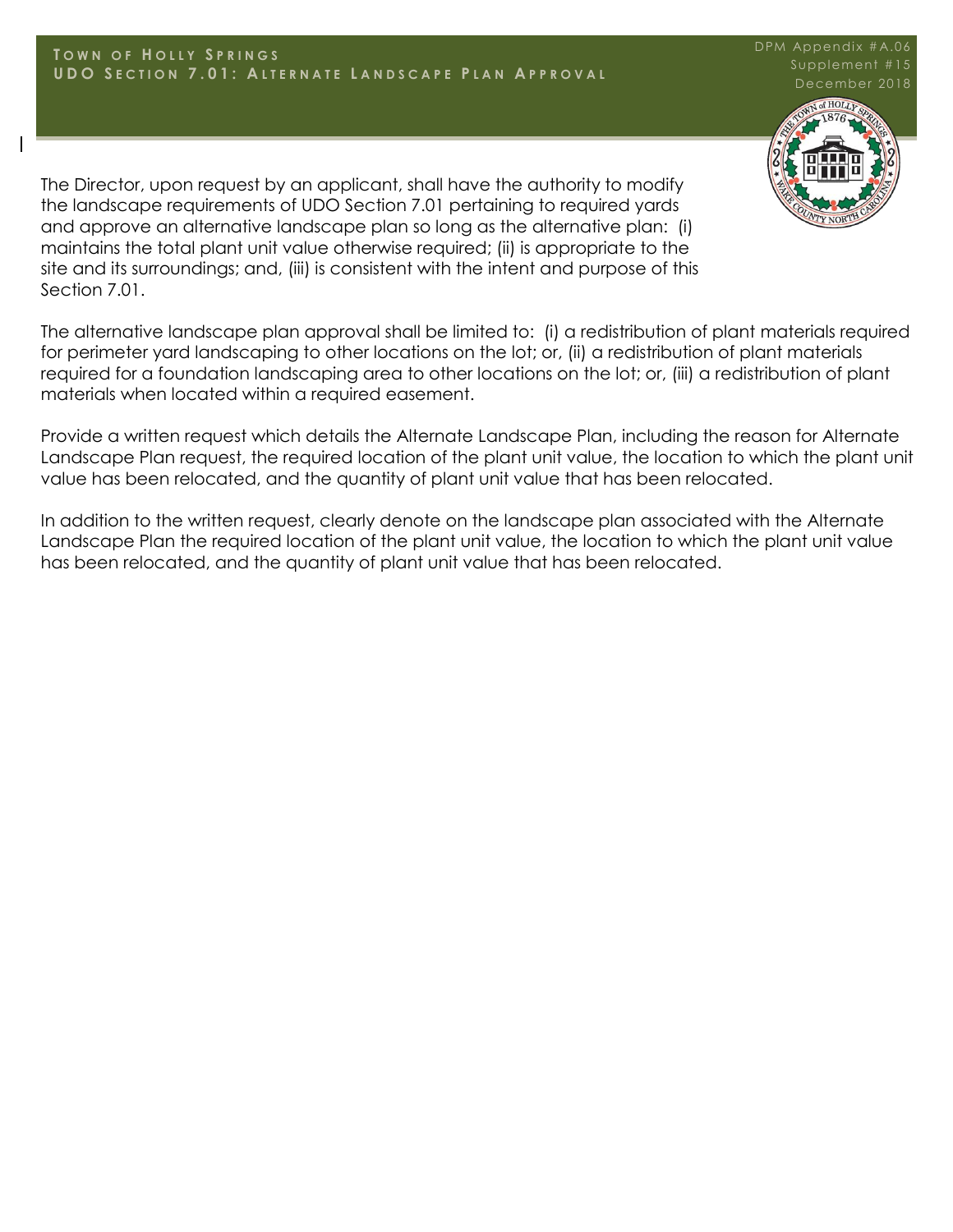The Director, upon request by an applicant, shall have the authority to modify the landscape requirements of UDO Section 7.01 pertaining to required yards and approve an alternative landscape plan so long as the alternative plan: (i) maintains the total plant unit value otherwise required; (ii) is appropriate to the site and its surroundings; and, (iii) is consistent with the intent and purpose of this Section 7.01.

The alternative landscape plan approval shall be limited to: (i) a redistribution of plant materials required for perimeter yard landscaping to other locations on the lot; or, (ii) a redistribution of plant materials required for a foundation landscaping area to other locations on the lot; or, (iii) a redistribution of plant materials when located within a required easement.

Provide a written request which details the Alternate Landscape Plan, including the reason for Alternate Landscape Plan request, the required location of the plant unit value, the location to which the plant unit value has been relocated, and the quantity of plant unit value that has been relocated.

In addition to the written request, clearly denote on the landscape plan associated with the Alternate Landscape Plan the required location of the plant unit value, the location to which the plant unit value has been relocated, and the quantity of plant unit value that has been relocated.



DPM Appendix #A.06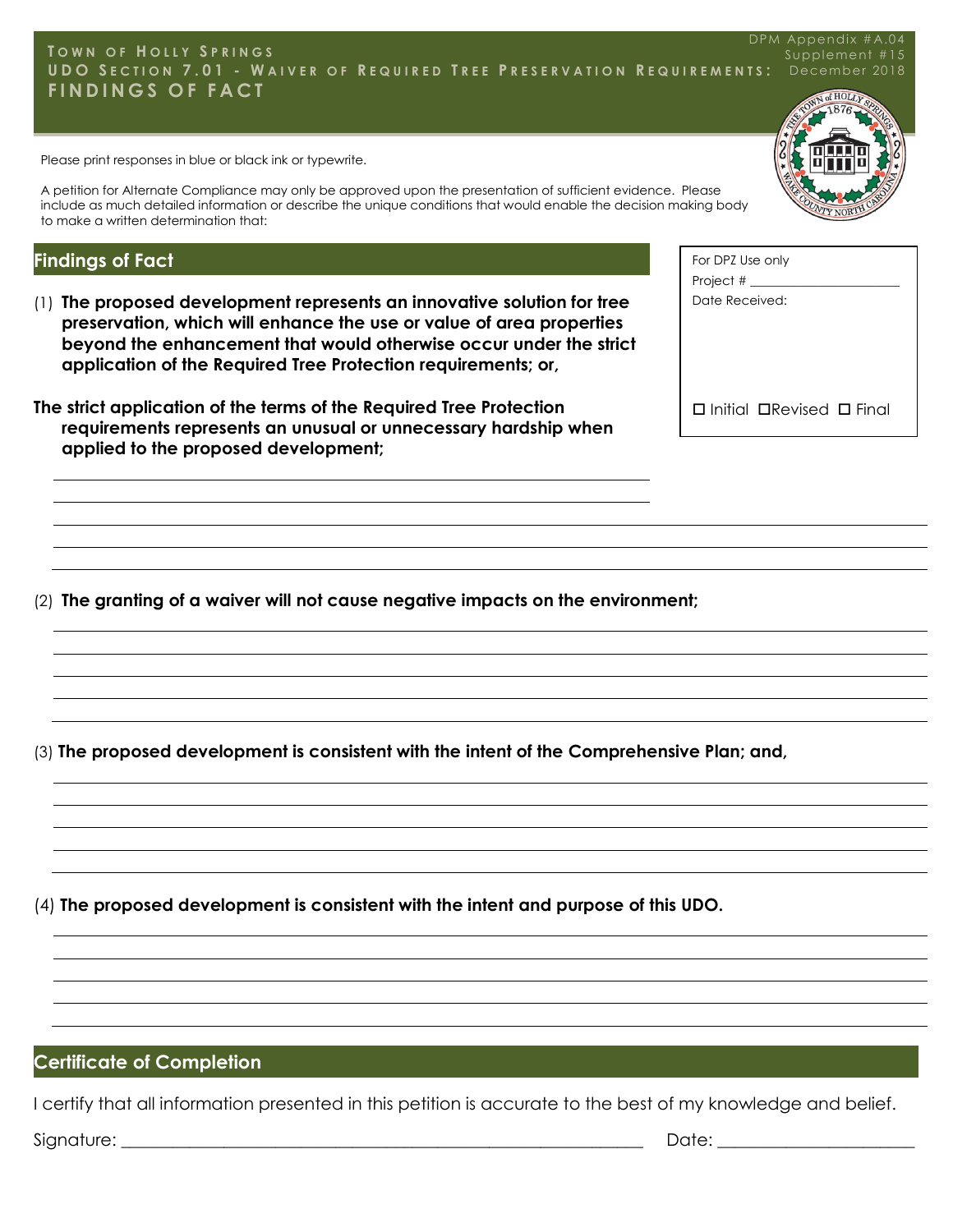#### **T O W N O F H O L L Y S P R I N G S** UDO SECTION 7.01 - WAIVER OF REQUIRED TREE PRESERVATION REQUIREMENTS: December 2018 **F I N D I N G S O F F A C T** DPM Appendix #A.04 Supplement #15

Please print responses in blue or black ink or typewrite.

A petition for Alternate Compliance may only be approved upon the presentation of sufficient evidence. Please include as much detailed information or describe the unique conditions that would enable the decision making body to make a written determination that:

#### **Findings of Fact**

- (1) **The proposed development represents an innovative solution for tree preservation, which will enhance the use or value of area properties beyond the enhancement that would otherwise occur under the strict application of the Required Tree Protection requirements; or,**
- **The strict application of the terms of the Required Tree Protection requirements represents an unusual or unnecessary hardship when applied to the proposed development;**

For DPZ Use only Project # \_\_\_\_\_\_\_\_\_\_\_\_\_\_\_\_\_\_\_\_\_\_\_\_ Date Received:

 $\square$  Initial  $\square$ Revised  $\square$  Final

(2) **The granting of a waiver will not cause negative impacts on the environment;**

(3) **The proposed development is consistent with the intent of the Comprehensive Plan; and,**

(4) **The proposed development is consistent with the intent and purpose of this UDO.**

## **Certificate of Completion**

I certify that all information presented in this petition is accurate to the best of my knowledge and belief.

Signature: \_\_\_\_\_\_\_\_\_\_\_\_\_\_\_\_\_\_\_\_\_\_\_\_\_\_\_\_\_\_\_\_\_\_\_\_\_\_\_\_\_\_\_\_\_\_\_\_\_\_\_\_\_\_\_\_\_\_\_\_\_ Date: \_\_\_\_\_\_\_\_\_\_\_\_\_\_\_\_\_\_\_\_\_\_\_

**N** of HOLT

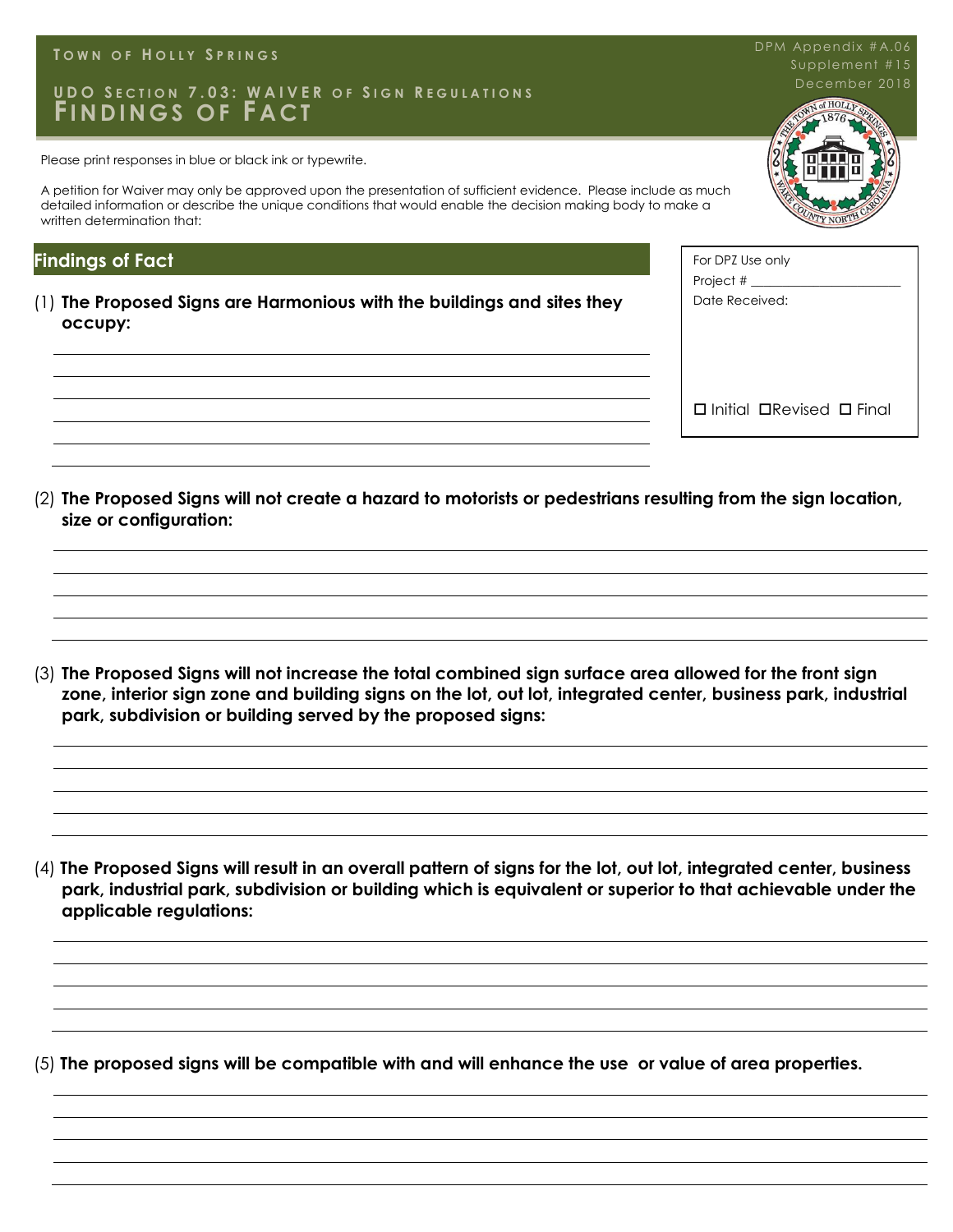#### **T O W N O F H O L L Y S P R I N G S**

# UDO SECTION 7.03: WAIVER OF SIGN REGULATIONS NET RESERVED AND REGULATIONS **FI N D I N G S O F F A C T**

Please print responses in blue or black ink or typewrite.

A petition for Waiver may only be approved upon the presentation of sufficient evidence. Please include as much detailed information or describe the unique conditions that would enable the decision making body to make a written determination that:

#### **Findings of Fact**

(1) **The Proposed Signs are Harmonious with the buildings and sites they occupy:**

For DPZ Use only Project # Date Received:  $\square$  Initial  $\square$  Revised  $\square$  Final

(2) **The Proposed Signs will not create a hazard to motorists or pedestrians resulting from the sign location, size or configuration:**

(3) **The Proposed Signs will not increase the total combined sign surface area allowed for the front sign zone, interior sign zone and building signs on the lot, out lot, integrated center, business park, industrial park, subdivision or building served by the proposed signs:** 

(4) **The Proposed Signs will result in an overall pattern of signs for the lot, out lot, integrated center, business park, industrial park, subdivision or building which is equivalent or superior to that achievable under the applicable regulations:** 

(5) **The proposed signs will be compatible with and will enhance the use or value of area properties.**



DPM Appendix #A.06 Supplement #15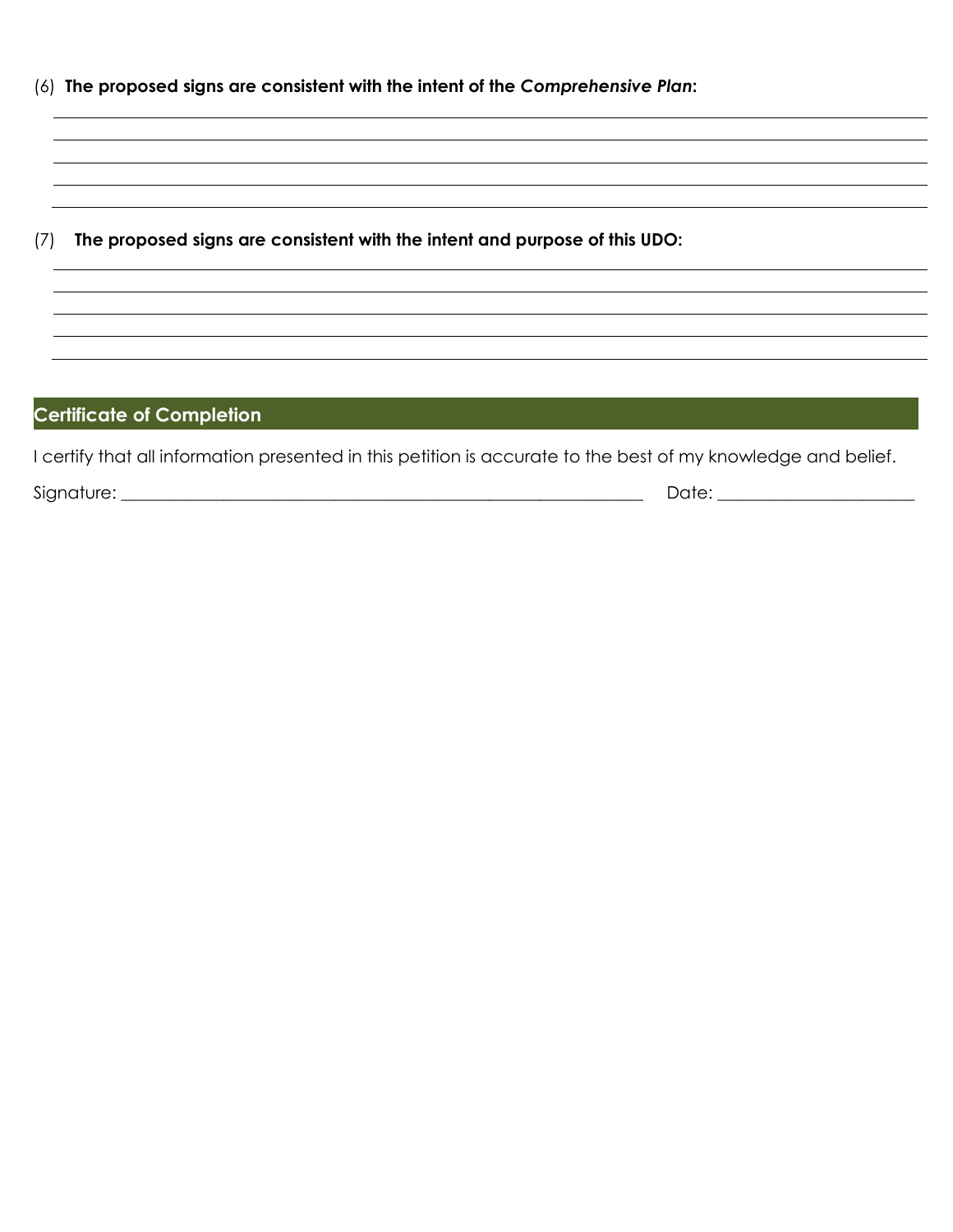|  |  |  |  |  | (6) The proposed signs are consistent with the intent of the Comprehensive Plan: |
|--|--|--|--|--|----------------------------------------------------------------------------------|
|--|--|--|--|--|----------------------------------------------------------------------------------|

(7) **The proposed signs are consistent with the intent and purpose of this UDO:**

#### **Certificate of Completion**

I certify that all information presented in this petition is accurate to the best of my knowledge and belief.

Signature: \_\_\_\_\_\_\_\_\_\_\_\_\_\_\_\_\_\_\_\_\_\_\_\_\_\_\_\_\_\_\_\_\_\_\_\_\_\_\_\_\_\_\_\_\_\_\_\_\_\_\_\_\_\_\_\_\_\_\_\_\_ Date: \_\_\_\_\_\_\_\_\_\_\_\_\_\_\_\_\_\_\_\_\_\_\_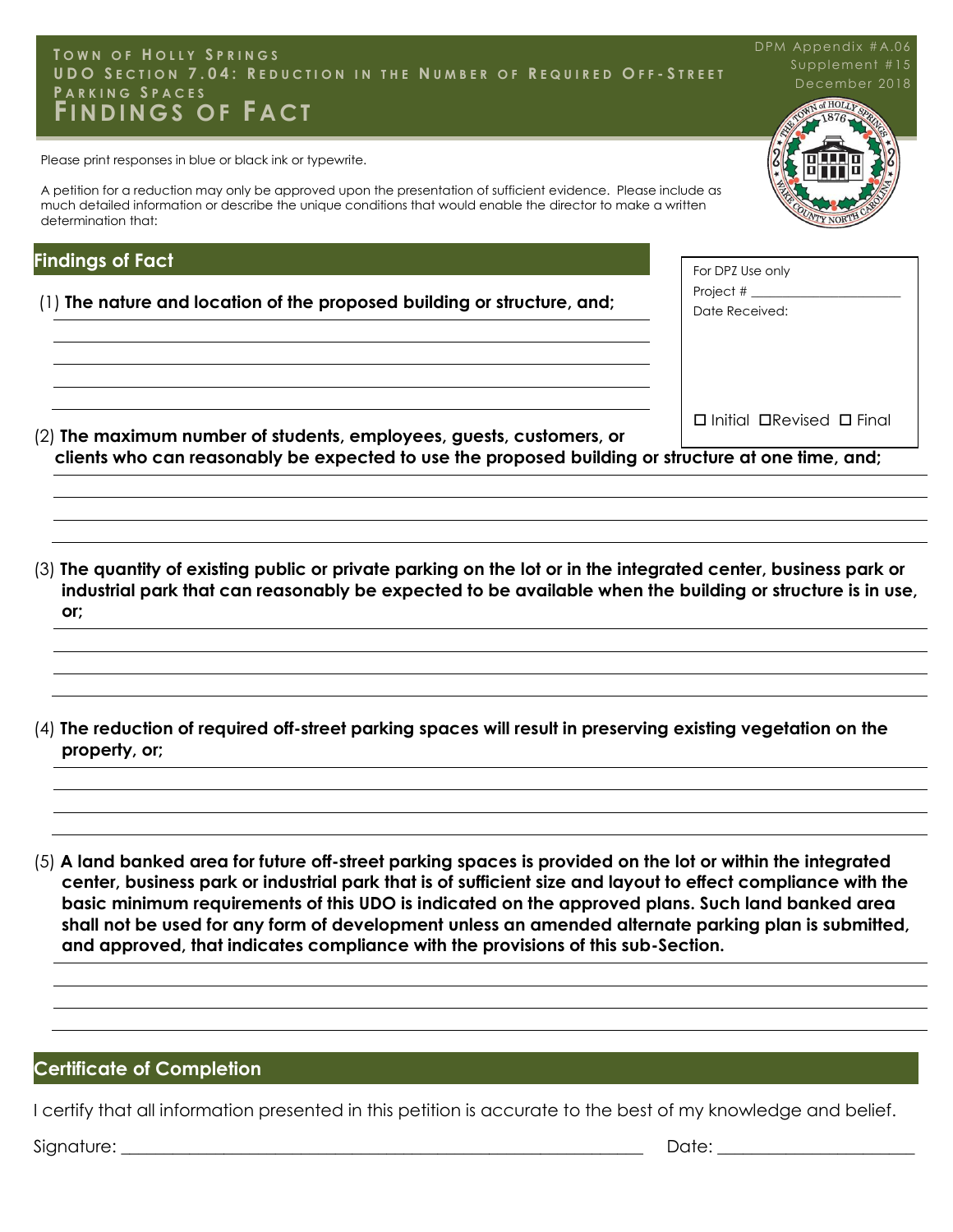#### Page 12 Town of Holly Springs **U D O S E C T I O N 7 . 0 4 : R E D U C T I O N I N T H E N U M B E R O F R E Q U I R E D O F F - S T R E E T**  Development Waiver and Alternate Compliance Packet **FI N D I N G S O F F A C T T O W N O F H O L L Y S P R I N G S P A R K I N G S P A C E S**

Please print responses in blue or black ink or typewrite.

A petition for a reduction may only be approved upon the presentation of sufficient evidence. Please include as much detailed information or describe the unique conditions that would enable the director to make a written determination that:

#### **Findings of Fact**

- (1) **The nature and location of the proposed building or structure, and;**
- (2) **The maximum number of students, employees, guests, customers, or clients who can reasonably be expected to use the proposed building or structure at one time, and;**   $\Box$  Initial  $\Box$ Revised  $\Box$  Final
- (3) **The quantity of existing public or private parking on the lot or in the integrated center, business park or industrial park that can reasonably be expected to be available when the building or structure is in use, or;**
- (4) **The reduction of required off-street parking spaces will result in preserving existing vegetation on the property, or;**

(5) **A land banked area for future off-street parking spaces is provided on the lot or within the integrated center, business park or industrial park that is of sufficient size and layout to effect compliance with the basic minimum requirements of this UDO is indicated on the approved plans. Such land banked area shall not be used for any form of development unless an amended alternate parking plan is submitted, and approved, that indicates compliance with the provisions of this sub-Section.** 

#### **Certificate of Completion**

I certify that all information presented in this petition is accurate to the best of my knowledge and belief.

Signature: \_\_\_\_\_\_\_\_\_\_\_\_\_\_\_\_\_\_\_\_\_\_\_\_\_\_\_\_\_\_\_\_\_\_\_\_\_\_\_\_\_\_\_\_\_\_\_\_\_\_\_\_\_\_\_\_\_\_\_\_\_ Date: \_\_\_\_\_\_\_\_\_\_\_\_\_\_\_\_\_\_\_\_\_\_\_



| For DPZ Use only   |
|--------------------|
| Project $#$ $\_\_$ |
| Date Received:     |
|                    |
|                    |
|                    |
|                    |
|                    |
| .<br>.<br>٠<br>. . |

DPM Appendix #A.06

# Supplement #15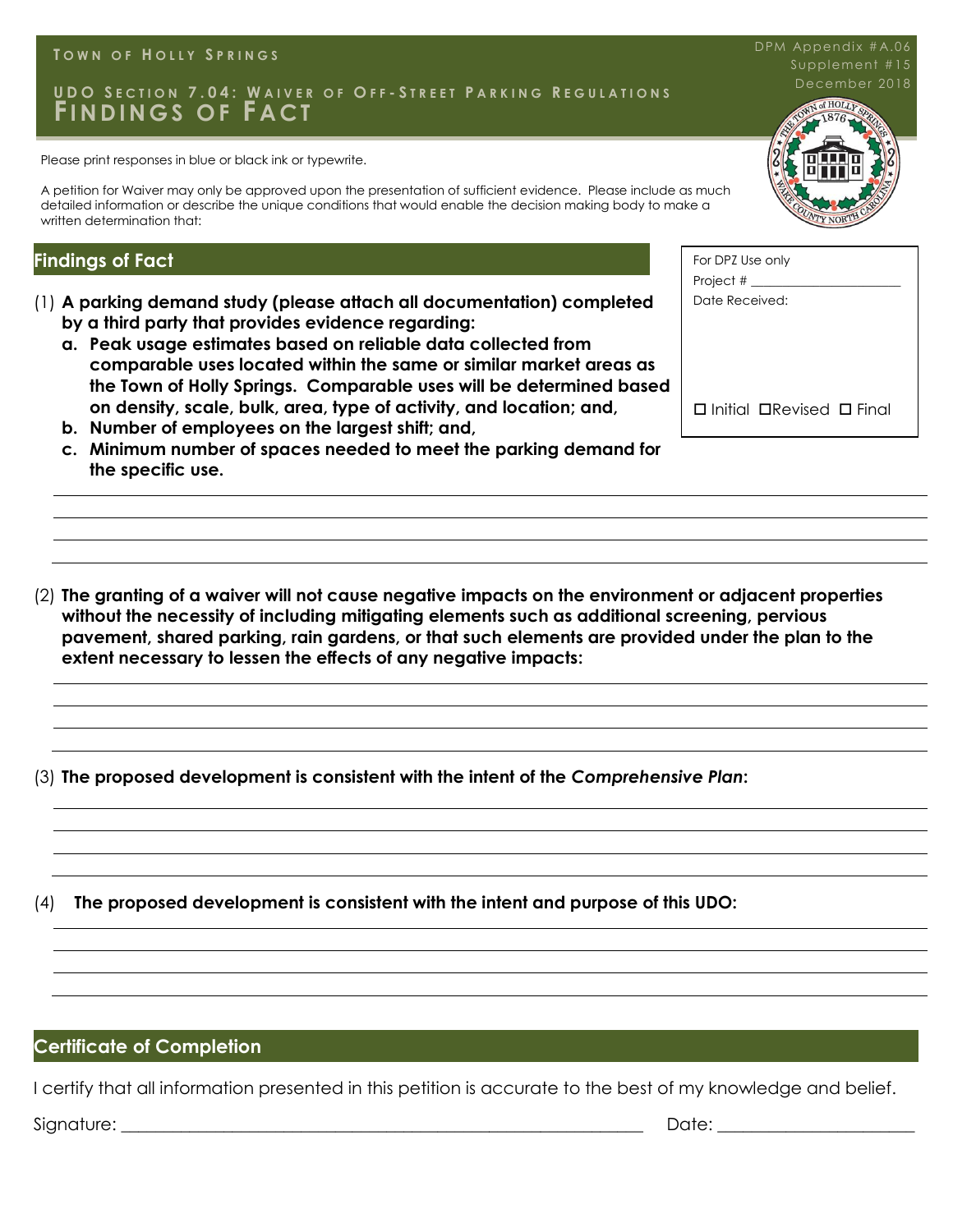#### **T O W N O F H O L L Y S P R I N G S**

## UDO SECTION 7.04: WAIVER OF OFF-STREET PARKING REGULATIONS December 201 **FI N D I N G S O F F A C T**

Please print responses in blue or black ink or typewrite.

A petition for Waiver may only be approved upon the presentation of sufficient evidence. Please include as much detailed information or describe the unique conditions that would enable the decision making body to make a written determination that:

#### **Findings of Fact**

- (1) **A parking demand study (please attach all documentation) completed by a third party that provides evidence regarding:**
	- **a. Peak usage estimates based on reliable data collected from comparable uses located within the same or similar market areas as the Town of Holly Springs. Comparable uses will be determined based on density, scale, bulk, area, type of activity, and location; and,**
	- **b. Number of employees on the largest shift; and,**
	- **c. Minimum number of spaces needed to meet the parking demand for the specific use.**
- (2) **The granting of a waiver will not cause negative impacts on the environment or adjacent properties without the necessity of including mitigating elements such as additional screening, pervious pavement, shared parking, rain gardens, or that such elements are provided under the plan to the extent necessary to lessen the effects of any negative impacts:**

(3) **The proposed development is consistent with the intent of the** *Comprehensive Plan***:**

(4) **The proposed development is consistent with the intent and purpose of this UDO:** 

#### **Certificate of Completion**

I certify that all information presented in this petition is accurate to the best of my knowledge and belief.

Signature: \_\_\_\_\_\_\_\_\_\_\_\_\_\_\_\_\_\_\_\_\_\_\_\_\_\_\_\_\_\_\_\_\_\_\_\_\_\_\_\_\_\_\_\_\_\_\_\_\_\_\_\_\_\_\_\_\_\_\_\_\_ Date: \_\_\_\_\_\_\_\_\_\_\_\_\_\_\_\_\_\_\_\_\_\_\_



DPM Appendix #A.06

| For DPZ Use only |                                            |  |
|------------------|--------------------------------------------|--|
| Project $#_$     |                                            |  |
| Date Received:   |                                            |  |
|                  |                                            |  |
|                  |                                            |  |
|                  |                                            |  |
|                  |                                            |  |
|                  | $\Box$ Initial $\Box$ Revised $\Box$ Final |  |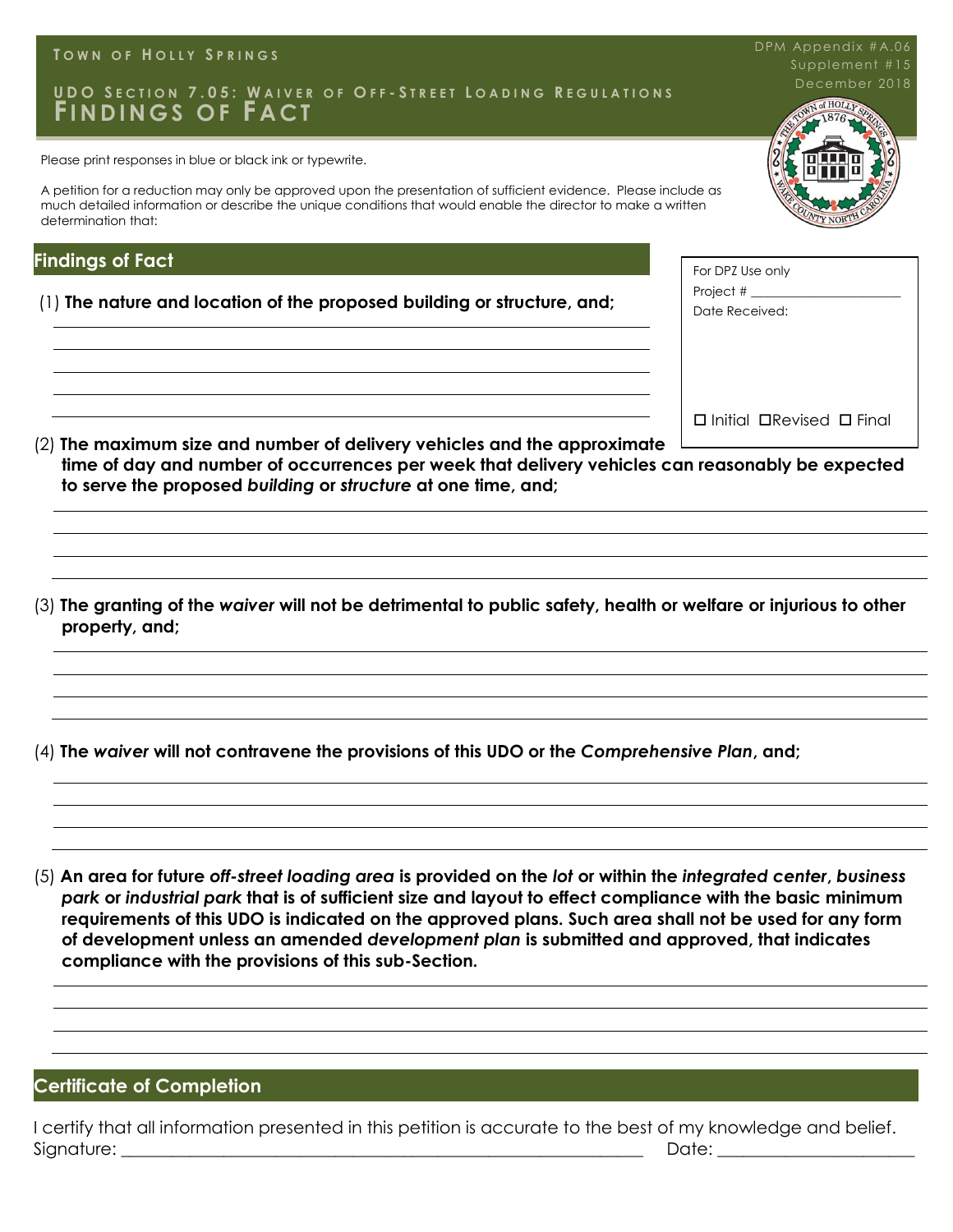|  |  | TOWN OF HOLLY SPRINGS |
|--|--|-----------------------|
|--|--|-----------------------|

#### **U D O S E C T I O N 7 . 0 5 : W A I V E R O F O F F - S T R E E T L O A D I N G R E G U L A T I O N S FI N D I N G S O F F A C T**

Please print responses in blue or black ink or typewrite.

A petition for a reduction may only be approved upon the presentation of sufficient evidence. Please include as much detailed information or describe the unique conditions that would enable the director to make a written determination that:

#### **Findings of Fact**

(1) **The nature and location of the proposed building or structure, and;** 

(2) **The maximum size and number of delivery vehicles and the approximate time of day and number of occurrences per week that delivery vehicles can reasonably be expected to serve the proposed** *building* **or** *structure* **at one time, and;**

(3) **The granting of the** *waiver* **will not be detrimental to public safety, health or welfare or injurious to other property, and;**

(4) **The** *waiver* **will not contravene the provisions of this UDO or the** *Comprehensive Plan***, and;**

(5) **An area for future** *off-street loading area* **is provided on the** *lot* **or within the** *integrated center***,** *business park* **or** *industrial park* **that is of sufficient size and layout to effect compliance with the basic minimum requirements of this UDO is indicated on the approved plans. Such area shall not be used for any form of development unless an amended** *development plan* **is submitted and approved, that indicates compliance with the provisions of this sub-Section.**

#### **Certificate of Completion**

I certify that all information presented in this petition is accurate to the best of my knowledge and belief. Signature: \_\_\_\_\_\_\_\_\_\_\_\_\_\_\_\_\_\_\_\_\_\_\_\_\_\_\_\_\_\_\_\_\_\_\_\_\_\_\_\_\_\_\_\_\_\_\_\_\_\_\_\_\_\_\_\_\_\_\_\_\_ Date: \_\_\_\_\_\_\_\_\_\_\_\_\_\_\_\_\_\_\_\_\_\_\_



| For DPZ Use only<br>Project $#_$<br>Date Received: |
|----------------------------------------------------|
|                                                    |
| □ Initial □Revised □ Final                         |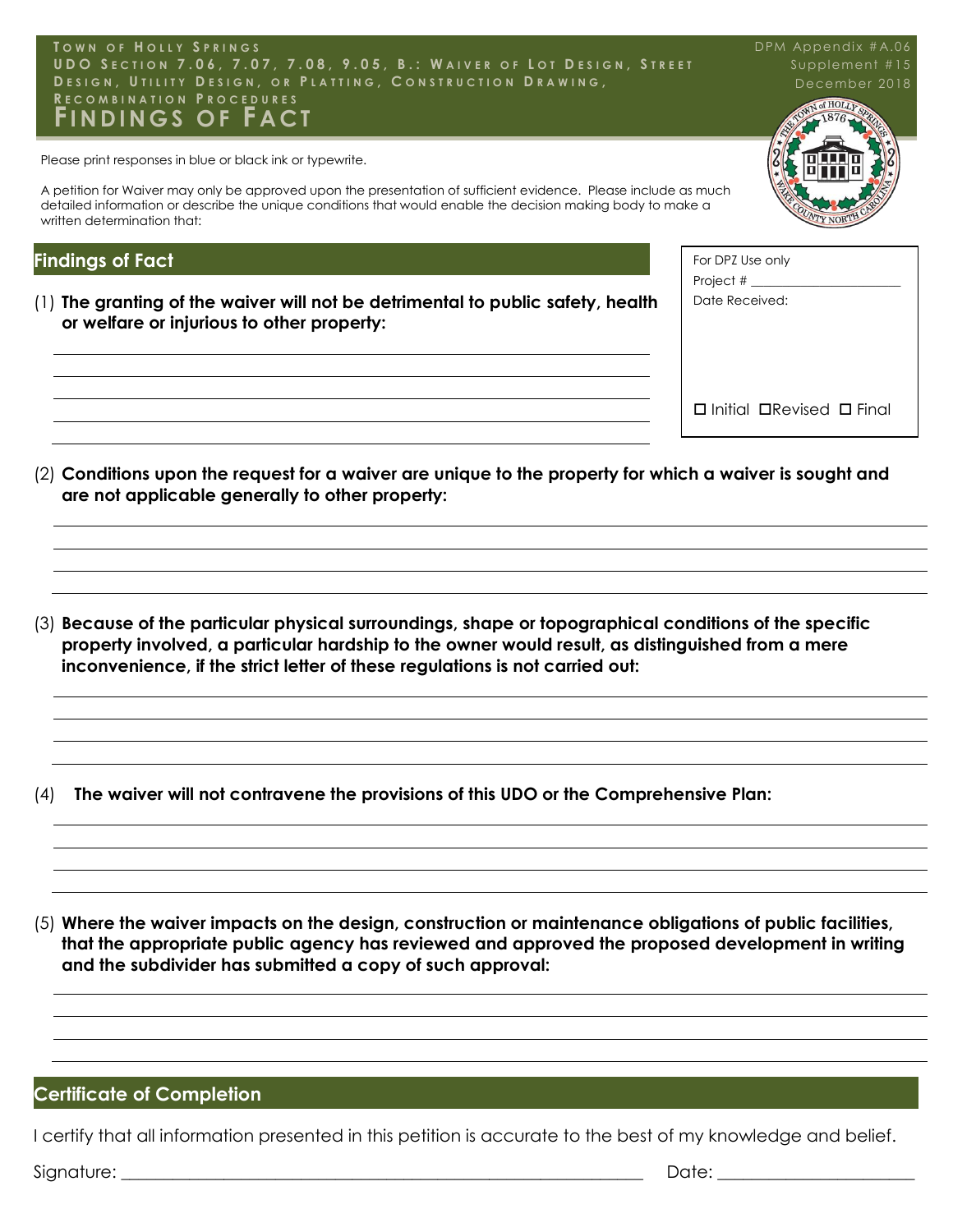

Please print responses in blue or black ink or typewrite.

A petition for Waiver may only be approved upon the presentation of sufficient evidence. Please include as much detailed information or describe the unique conditions that would enable the decision making body to make a written determination that:

#### **Findings of Fact**

(1) **The granting of the waiver will not be detrimental to public safety, health or welfare or injurious to other property:**



DPM Appendix #A.06 Supplement #15

| For DPZ Use only<br>Project # $\rule{1em}{0.15mm}$  |
|-----------------------------------------------------|
| Date Received:                                      |
|                                                     |
|                                                     |
|                                                     |
|                                                     |
| $\square$ Initial $\square$ Revised $\square$ Final |

(2) **Conditions upon the request for a waiver are unique to the property for which a waiver is sought and are not applicable generally to other property:**

(3) **Because of the particular physical surroundings, shape or topographical conditions of the specific property involved, a particular hardship to the owner would result, as distinguished from a mere inconvenience, if the strict letter of these regulations is not carried out:**

(4) **The waiver will not contravene the provisions of this UDO or the Comprehensive Plan:**

(5) **Where the waiver impacts on the design, construction or maintenance obligations of public facilities, that the appropriate public agency has reviewed and approved the proposed development in writing and the subdivider has submitted a copy of such approval:**

#### **Certificate of Completion**

I certify that all information presented in this petition is accurate to the best of my knowledge and belief.

Signature: \_\_\_\_\_\_\_\_\_\_\_\_\_\_\_\_\_\_\_\_\_\_\_\_\_\_\_\_\_\_\_\_\_\_\_\_\_\_\_\_\_\_\_\_\_\_\_\_\_\_\_\_\_\_\_\_\_\_\_\_\_ Date: \_\_\_\_\_\_\_\_\_\_\_\_\_\_\_\_\_\_\_\_\_\_\_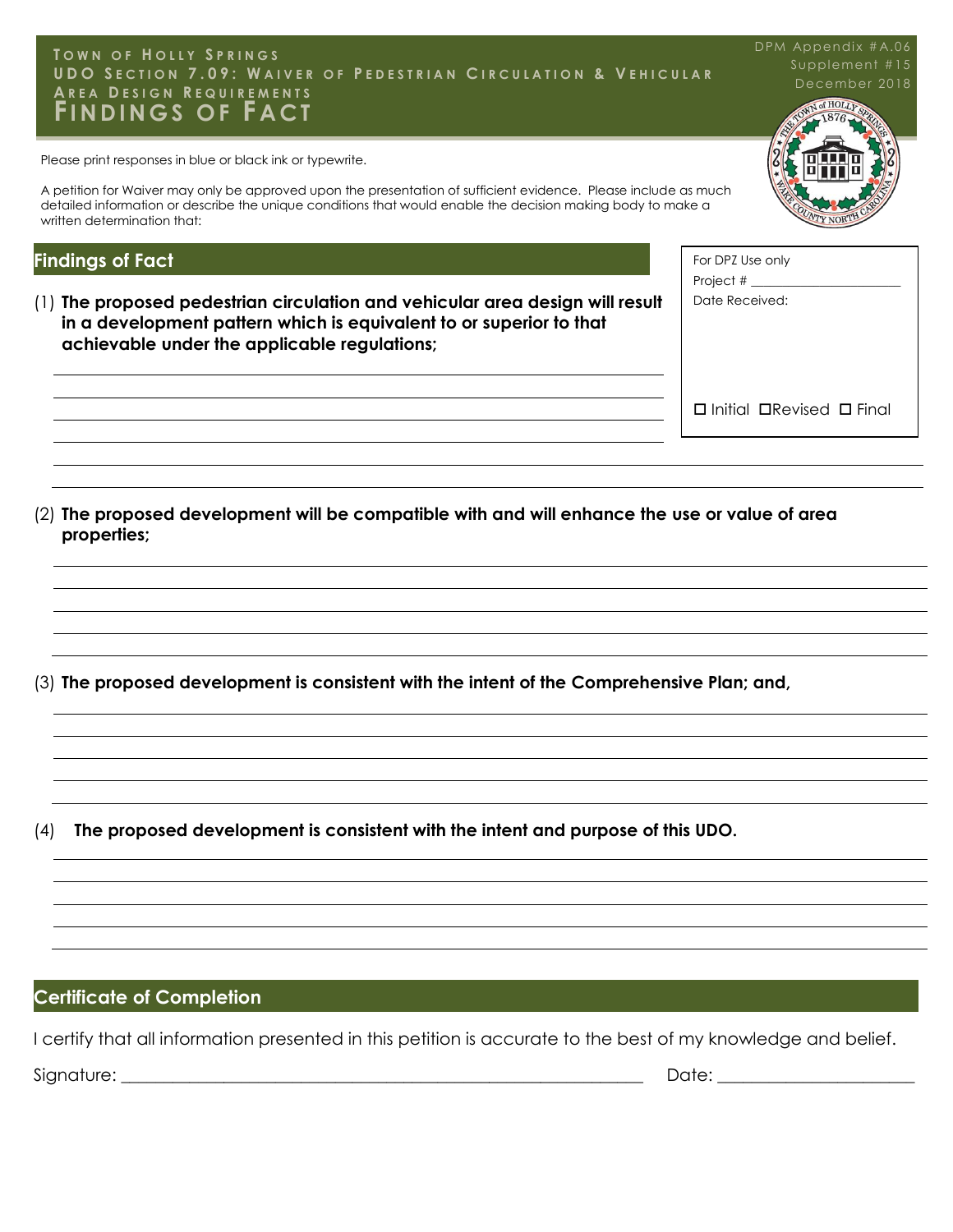#### UDO SECTION 7.09: WAIVER OF PEDESTRIAN CIRCULATION & VEHICULAR December 2018<br>AREA DESIGN REQUIREMENTS **DEVELOPMENT WAS EXPRESSED AND AREA DEVELOPMENT WAS EXPRESSED AND ALTERNATIVE COMPLIANCE COMPLIANCE COMPLIANCE COMPLIANCE COMPLIANCE COMPLIANCE COMPLIANCE COMPLIANCE COMPLIANCE COMPLIANCE COMPLIANCE COMPLIANCE COMPLIANCE C T O W N O F H O L L Y S P R I N G S FI N D I N G S O F F A C T**

Please print responses in blue or black ink or typewrite.

A petition for Waiver may only be approved upon the presentation of sufficient evidence. Please include as much detailed information or describe the unique conditions that would enable the decision making body to make a written determination that:

#### **Findings of Fact**

(1) **The proposed pedestrian circulation and vehicular area design will result in a development pattern which is equivalent to or superior to that achievable under the applicable regulations;**

For DPZ Use only Project  $#_$ Date Received:

 $\square$  Initial  $\square$  Revised  $\square$  Final

(2) **The proposed development will be compatible with and will enhance the use or value of area properties;**

(3) **The proposed development is consistent with the intent of the Comprehensive Plan; and,**

(4) **The proposed development is consistent with the intent and purpose of this UDO.**

## **Certificate of Completion**

I certify that all information presented in this petition is accurate to the best of my knowledge and belief.

Signature: \_\_\_\_\_\_\_\_\_\_\_\_\_\_\_\_\_\_\_\_\_\_\_\_\_\_\_\_\_\_\_\_\_\_\_\_\_\_\_\_\_\_\_\_\_\_\_\_\_\_\_\_\_\_\_\_\_\_\_\_\_ Date: \_\_\_\_\_\_\_\_\_\_\_\_\_\_\_\_\_\_\_\_\_\_\_